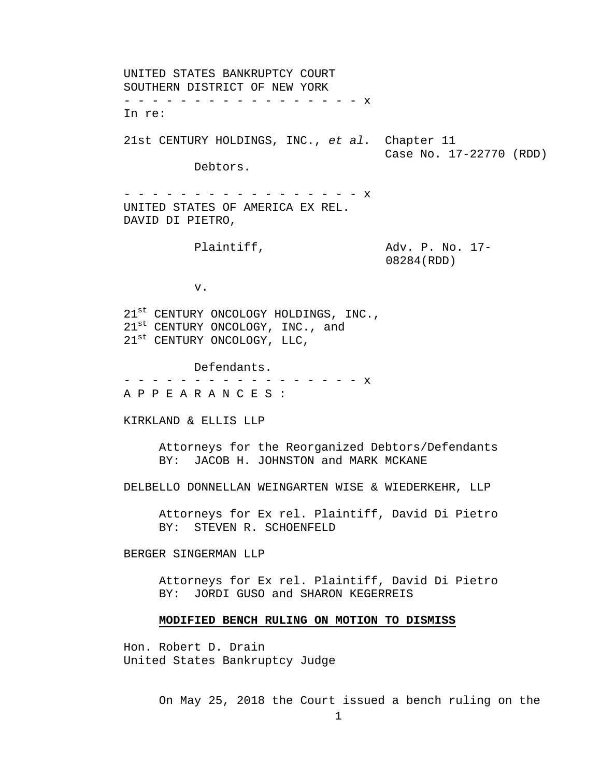UNITED STATES BANKRUPTCY COURT SOUTHERN DISTRICT OF NEW YORK - - - - - - - - - - - - - - - - - x In re: 21st CENTURY HOLDINGS, INC., *et al.* Chapter 11 Case No. 17-22770 (RDD) Debtors. - - - - - - - - - - - - - - - - X UNITED STATES OF AMERICA EX REL. DAVID DI PIETRO, Plaintiff,  $\qquad \qquad \text{Adv. P. No. } 17-$ 08284(RDD) v. 21<sup>st</sup> CENTURY ONCOLOGY HOLDINGS, INC.,  $21^{\text{st}}$  CENTURY ONCOLOGY, INC., and 21<sup>st</sup> CENTURY ONCOLOGY, LLC, Defendants. - - - - - - - - - - - - - - - - - x A P P E A R A N C E S : KIRKLAND & ELLIS LLP Attorneys for the Reorganized Debtors/Defendants BY: JACOB H. JOHNSTON and MARK MCKANE DELBELLO DONNELLAN WEINGARTEN WISE & WIEDERKEHR, LLP Attorneys for Ex rel. Plaintiff, David Di Pietro BY: STEVEN R. SCHOENFELD BERGER SINGERMAN LLP Attorneys for Ex rel. Plaintiff, David Di Pietro BY: JORDI GUSO and SHARON KEGERREIS **MODIFIED BENCH RULING ON MOTION TO DISMISS** 

Hon. Robert D. Drain United States Bankruptcy Judge

On May 25, 2018 the Court issued a bench ruling on the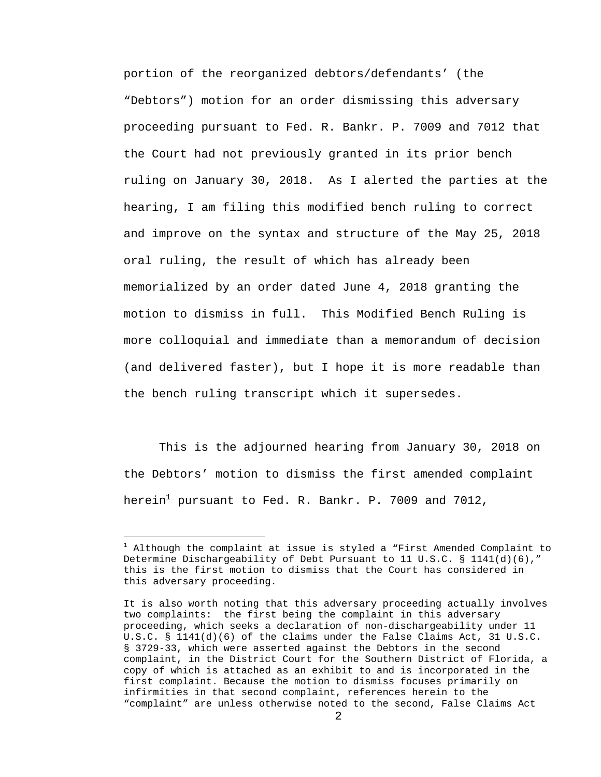portion of the reorganized debtors/defendants' (the "Debtors") motion for an order dismissing this adversary proceeding pursuant to Fed. R. Bankr. P. 7009 and 7012 that the Court had not previously granted in its prior bench ruling on January 30, 2018. As I alerted the parties at the hearing, I am filing this modified bench ruling to correct and improve on the syntax and structure of the May 25, 2018 oral ruling, the result of which has already been memorialized by an order dated June 4, 2018 granting the motion to dismiss in full. This Modified Bench Ruling is more colloquial and immediate than a memorandum of decision (and delivered faster), but I hope it is more readable than the bench ruling transcript which it supersedes.

This is the adjourned hearing from January 30, 2018 on the Debtors' motion to dismiss the first amended complaint herein $^1$  pursuant to Fed. R. Bankr. P. 7009 and 7012,

i<br>Li

<sup>&</sup>lt;sup>1</sup> Although the complaint at issue is styled a "First Amended Complaint to Determine Dischargeability of Debt Pursuant to 11 U.S.C. § 1141(d)(6)," this is the first motion to dismiss that the Court has considered in this adversary proceeding.

It is also worth noting that this adversary proceeding actually involves two complaints: the first being the complaint in this adversary proceeding, which seeks a declaration of non-dischargeability under 11 U.S.C. § 1141(d)(6) of the claims under the False Claims Act, 31 U.S.C. § 3729-33, which were asserted against the Debtors in the second complaint, in the District Court for the Southern District of Florida, a copy of which is attached as an exhibit to and is incorporated in the first complaint. Because the motion to dismiss focuses primarily on infirmities in that second complaint, references herein to the "complaint" are unless otherwise noted to the second, False Claims Act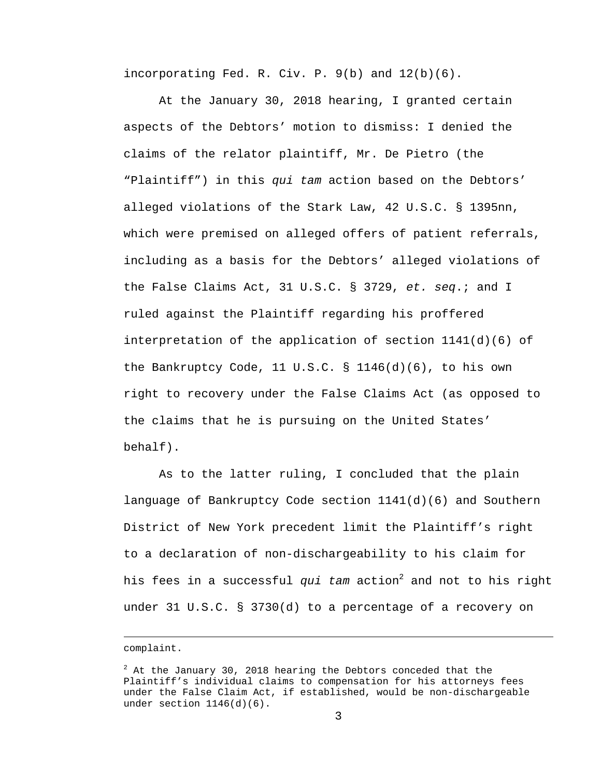incorporating Fed. R. Civ. P. 9(b) and 12(b)(6).

At the January 30, 2018 hearing, I granted certain aspects of the Debtors' motion to dismiss: I denied the claims of the relator plaintiff, Mr. De Pietro (the "Plaintiff") in this *qui tam* action based on the Debtors' alleged violations of the Stark Law, 42 U.S.C. § 1395nn, which were premised on alleged offers of patient referrals, including as a basis for the Debtors' alleged violations of the False Claims Act, 31 U.S.C. § 3729, *et. seq*.; and I ruled against the Plaintiff regarding his proffered interpretation of the application of section  $1141(d)(6)$  of the Bankruptcy Code, 11 U.S.C. § 1146(d)(6), to his own right to recovery under the False Claims Act (as opposed to the claims that he is pursuing on the United States' behalf).

As to the latter ruling, I concluded that the plain language of Bankruptcy Code section 1141(d)(6) and Southern District of New York precedent limit the Plaintiff's right to a declaration of non-dischargeability to his claim for his fees in a successful *qui tam* action<sup>2</sup> and not to his right under 31 U.S.C. § 3730(d) to a percentage of a recovery on

i

complaint.

 $2$  At the January 30, 2018 hearing the Debtors conceded that the Plaintiff's individual claims to compensation for his attorneys fees under the False Claim Act, if established, would be non-dischargeable under section  $1146(d)(6)$ .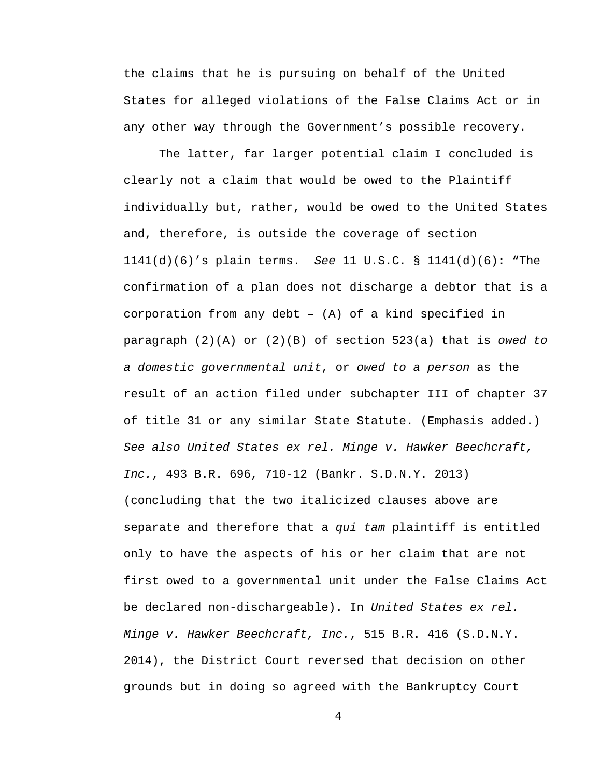the claims that he is pursuing on behalf of the United States for alleged violations of the False Claims Act or in any other way through the Government's possible recovery.

The latter, far larger potential claim I concluded is clearly not a claim that would be owed to the Plaintiff individually but, rather, would be owed to the United States and, therefore, is outside the coverage of section 1141(d)(6)'s plain terms. *See* 11 U.S.C. § 1141(d)(6): "The confirmation of a plan does not discharge a debtor that is a corporation from any debt – (A) of a kind specified in paragraph (2)(A) or (2)(B) of section 523(a) that is *owed to a domestic governmental unit*, or *owed to a person* as the result of an action filed under subchapter III of chapter 37 of title 31 or any similar State Statute. (Emphasis added.) *See also United States ex rel. Minge v. Hawker Beechcraft, Inc.*, 493 B.R. 696, 710-12 (Bankr. S.D.N.Y. 2013) (concluding that the two italicized clauses above are separate and therefore that a *qui tam* plaintiff is entitled only to have the aspects of his or her claim that are not first owed to a governmental unit under the False Claims Act be declared non-dischargeable). In *United States ex rel. Minge v. Hawker Beechcraft, Inc.*, 515 B.R. 416 (S.D.N.Y. 2014), the District Court reversed that decision on other grounds but in doing so agreed with the Bankruptcy Court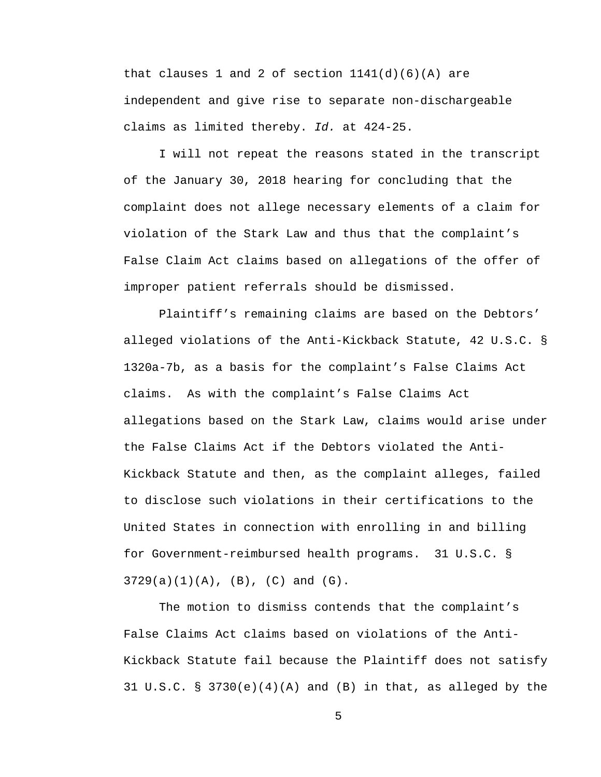that clauses 1 and 2 of section  $1141(d)(6)(A)$  are independent and give rise to separate non-dischargeable claims as limited thereby. *Id.* at 424-25.

I will not repeat the reasons stated in the transcript of the January 30, 2018 hearing for concluding that the complaint does not allege necessary elements of a claim for violation of the Stark Law and thus that the complaint's False Claim Act claims based on allegations of the offer of improper patient referrals should be dismissed.

Plaintiff's remaining claims are based on the Debtors' alleged violations of the Anti-Kickback Statute, 42 U.S.C. § 1320a-7b, as a basis for the complaint's False Claims Act claims. As with the complaint's False Claims Act allegations based on the Stark Law, claims would arise under the False Claims Act if the Debtors violated the Anti-Kickback Statute and then, as the complaint alleges, failed to disclose such violations in their certifications to the United States in connection with enrolling in and billing for Government-reimbursed health programs. 31 U.S.C. §  $3729(a)(1)(A)$ ,  $(B)$ ,  $(C)$  and  $(G)$ .

The motion to dismiss contends that the complaint's False Claims Act claims based on violations of the Anti-Kickback Statute fail because the Plaintiff does not satisfy 31 U.S.C. § 3730 $(e)(4)(A)$  and  $(B)$  in that, as alleged by the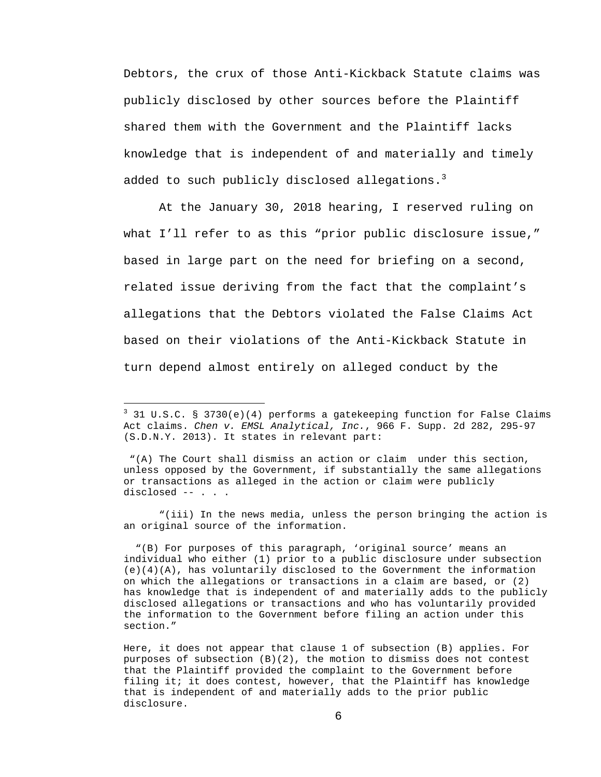Debtors, the crux of those Anti-Kickback Statute claims was publicly disclosed by other sources before the Plaintiff shared them with the Government and the Plaintiff lacks knowledge that is independent of and materially and timely added to such publicly disclosed allegations. $3$ 

At the January 30, 2018 hearing, I reserved ruling on what I'll refer to as this "prior public disclosure issue," based in large part on the need for briefing on a second, related issue deriving from the fact that the complaint's allegations that the Debtors violated the False Claims Act based on their violations of the Anti-Kickback Statute in turn depend almost entirely on alleged conduct by the

i

 "(iii) In the news media, unless the person bringing the action is an original source of the information.

 "(B) For purposes of this paragraph, 'original source' means an individual who either (1) prior to a public disclosure under subsection  $(e)(4)(A)$ , has voluntarily disclosed to the Government the information on which the allegations or transactions in a claim are based, or (2) has knowledge that is independent of and materially adds to the publicly disclosed allegations or transactions and who has voluntarily provided the information to the Government before filing an action under this section."

Here, it does not appear that clause 1 of subsection (B) applies. For purposes of subsection (B)(2), the motion to dismiss does not contest that the Plaintiff provided the complaint to the Government before filing it; it does contest, however, that the Plaintiff has knowledge that is independent of and materially adds to the prior public disclosure.

<sup>&</sup>lt;sup>3</sup> 31 U.S.C. § 3730(e)(4) performs a gatekeeping function for False Claims Act claims. *Chen v. EMSL Analytical, Inc.*, 966 F. Supp. 2d 282, 295-97 (S.D.N.Y. 2013). It states in relevant part:

 <sup>&</sup>quot;(A) The Court shall dismiss an action or claim under this section, unless opposed by the Government, if substantially the same allegations or transactions as alleged in the action or claim were publicly disclosed -- . . .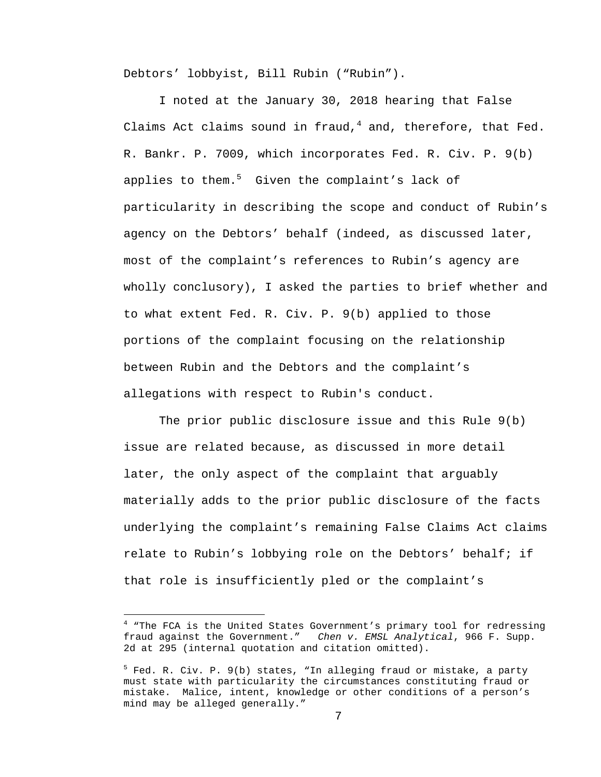Debtors' lobbyist, Bill Rubin ("Rubin").

I noted at the January 30, 2018 hearing that False Claims Act claims sound in fraud, $^4$  and, therefore, that Fed. R. Bankr. P. 7009, which incorporates Fed. R. Civ. P. 9(b) applies to them.<sup>5</sup> Given the complaint's lack of particularity in describing the scope and conduct of Rubin's agency on the Debtors' behalf (indeed, as discussed later, most of the complaint's references to Rubin's agency are wholly conclusory), I asked the parties to brief whether and to what extent Fed. R. Civ. P. 9(b) applied to those portions of the complaint focusing on the relationship between Rubin and the Debtors and the complaint's allegations with respect to Rubin's conduct.

The prior public disclosure issue and this Rule 9(b) issue are related because, as discussed in more detail later, the only aspect of the complaint that arguably materially adds to the prior public disclosure of the facts underlying the complaint's remaining False Claims Act claims relate to Rubin's lobbying role on the Debtors' behalf; if that role is insufficiently pled or the complaint's

i

<sup>&</sup>lt;sup>4</sup> "The FCA is the United States Government's primary tool for redressing fraud against the Government." *Chen v. EMSL Analytical*, 966 F. Supp. 2d at 295 (internal quotation and citation omitted).

<sup>&</sup>lt;sup>5</sup> Fed. R. Civ. P. 9(b) states, "In alleging fraud or mistake, a party must state with particularity the circumstances constituting fraud or mistake. Malice, intent, knowledge or other conditions of a person's mind may be alleged generally."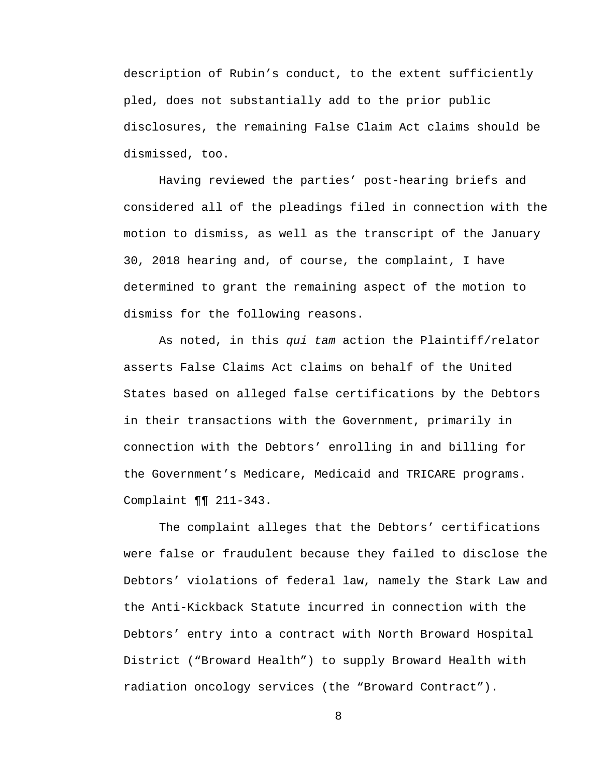description of Rubin's conduct, to the extent sufficiently pled, does not substantially add to the prior public disclosures, the remaining False Claim Act claims should be dismissed, too.

Having reviewed the parties' post-hearing briefs and considered all of the pleadings filed in connection with the motion to dismiss, as well as the transcript of the January 30, 2018 hearing and, of course, the complaint, I have determined to grant the remaining aspect of the motion to dismiss for the following reasons.

As noted, in this *qui tam* action the Plaintiff/relator asserts False Claims Act claims on behalf of the United States based on alleged false certifications by the Debtors in their transactions with the Government, primarily in connection with the Debtors' enrolling in and billing for the Government's Medicare, Medicaid and TRICARE programs. Complaint ¶¶ 211-343.

The complaint alleges that the Debtors' certifications were false or fraudulent because they failed to disclose the Debtors' violations of federal law, namely the Stark Law and the Anti-Kickback Statute incurred in connection with the Debtors' entry into a contract with North Broward Hospital District ("Broward Health") to supply Broward Health with radiation oncology services (the "Broward Contract").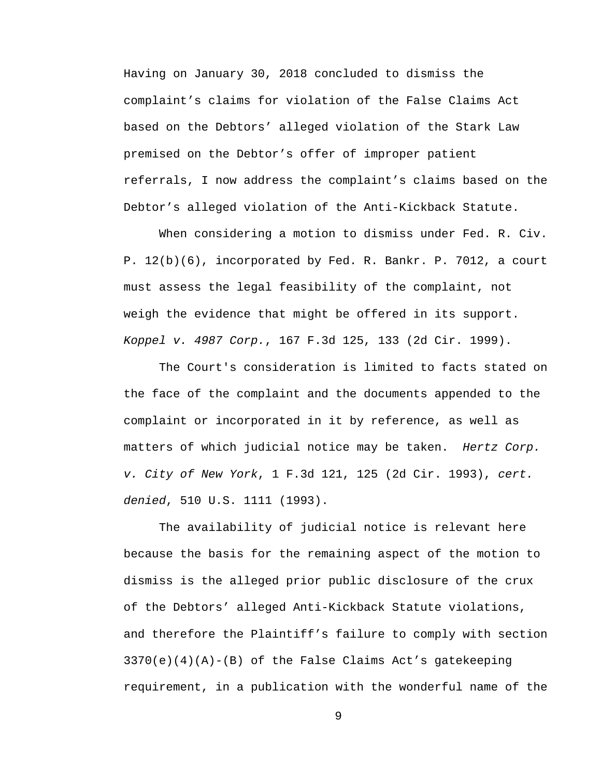Having on January 30, 2018 concluded to dismiss the complaint's claims for violation of the False Claims Act based on the Debtors' alleged violation of the Stark Law premised on the Debtor's offer of improper patient referrals, I now address the complaint's claims based on the Debtor's alleged violation of the Anti-Kickback Statute.

When considering a motion to dismiss under Fed. R. Civ. P. 12(b)(6), incorporated by Fed. R. Bankr. P. 7012, a court must assess the legal feasibility of the complaint, not weigh the evidence that might be offered in its support. *Koppel v. 4987 Corp.*, 167 F.3d 125, 133 (2d Cir. 1999).

The Court's consideration is limited to facts stated on the face of the complaint and the documents appended to the complaint or incorporated in it by reference, as well as matters of which judicial notice may be taken. *Hertz Corp. v. City of New York*, 1 F.3d 121, 125 (2d Cir. 1993), *cert. denied*, 510 U.S. 1111 (1993).

The availability of judicial notice is relevant here because the basis for the remaining aspect of the motion to dismiss is the alleged prior public disclosure of the crux of the Debtors' alleged Anti-Kickback Statute violations, and therefore the Plaintiff's failure to comply with section  $3370(e)(4)(A) - (B)$  of the False Claims Act's gatekeeping requirement, in a publication with the wonderful name of the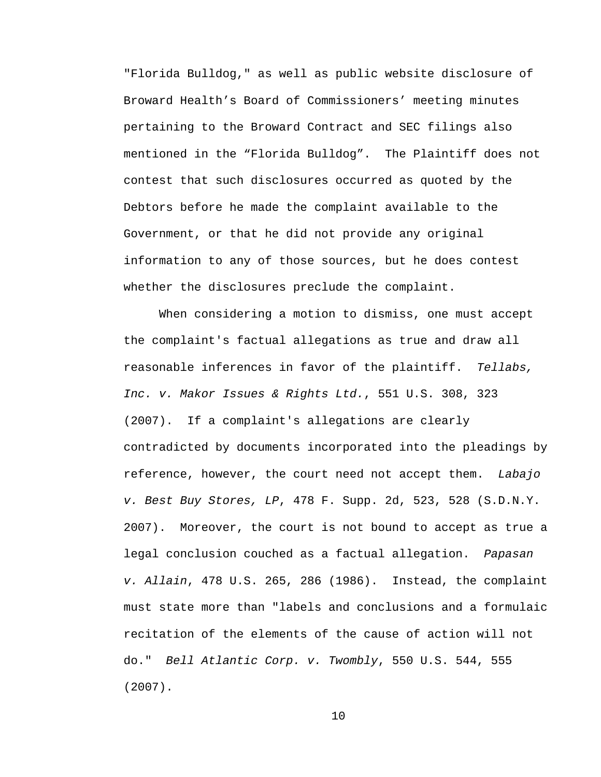"Florida Bulldog," as well as public website disclosure of Broward Health's Board of Commissioners' meeting minutes pertaining to the Broward Contract and SEC filings also mentioned in the "Florida Bulldog". The Plaintiff does not contest that such disclosures occurred as quoted by the Debtors before he made the complaint available to the Government, or that he did not provide any original information to any of those sources, but he does contest whether the disclosures preclude the complaint.

When considering a motion to dismiss, one must accept the complaint's factual allegations as true and draw all reasonable inferences in favor of the plaintiff. *Tellabs, Inc. v. Makor Issues & Rights Ltd.*, 551 U.S. 308, 323 (2007). If a complaint's allegations are clearly contradicted by documents incorporated into the pleadings by reference, however, the court need not accept them. *Labajo v. Best Buy Stores, LP*, 478 F. Supp. 2d, 523, 528 (S.D.N.Y. 2007). Moreover, the court is not bound to accept as true a legal conclusion couched as a factual allegation. *Papasan v. Allain*, 478 U.S. 265, 286 (1986). Instead, the complaint must state more than "labels and conclusions and a formulaic recitation of the elements of the cause of action will not do." *Bell Atlantic Corp. v. Twombly*, 550 U.S. 544, 555 (2007).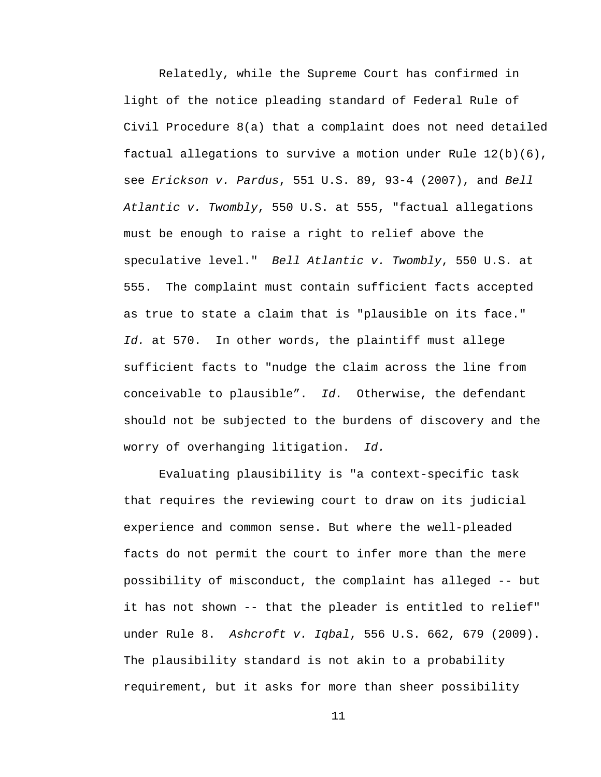Relatedly, while the Supreme Court has confirmed in light of the notice pleading standard of Federal Rule of Civil Procedure 8(a) that a complaint does not need detailed factual allegations to survive a motion under Rule 12(b)(6), see *Erickson v. Pardus*, 551 U.S. 89, 93-4 (2007), and *Bell Atlantic v. Twombly*, 550 U.S. at 555, "factual allegations must be enough to raise a right to relief above the speculative level." *Bell Atlantic v. Twombly*, 550 U.S. at 555. The complaint must contain sufficient facts accepted as true to state a claim that is "plausible on its face." *Id.* at 570. In other words, the plaintiff must allege sufficient facts to "nudge the claim across the line from conceivable to plausible". *Id.* Otherwise, the defendant should not be subjected to the burdens of discovery and the worry of overhanging litigation. *Id.*

Evaluating plausibility is "a context-specific task that requires the reviewing court to draw on its judicial experience and common sense. But where the well-pleaded facts do not permit the court to infer more than the mere possibility of misconduct, the complaint has alleged -- but it has not shown -- that the pleader is entitled to relief" under Rule 8. *Ashcroft v. Iqbal*, 556 U.S. 662, 679 (2009). The plausibility standard is not akin to a probability requirement, but it asks for more than sheer possibility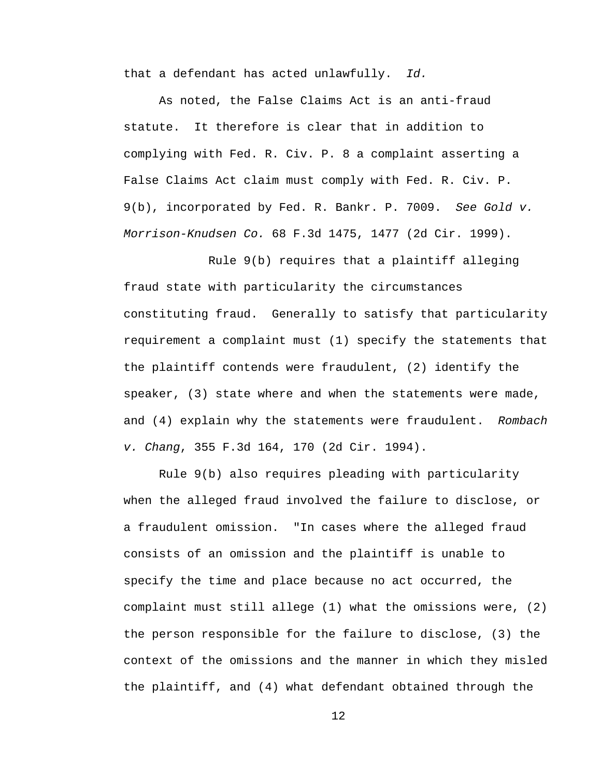that a defendant has acted unlawfully. *Id.*

As noted, the False Claims Act is an anti-fraud statute. It therefore is clear that in addition to complying with Fed. R. Civ. P. 8 a complaint asserting a False Claims Act claim must comply with Fed. R. Civ. P. 9(b), incorporated by Fed. R. Bankr. P. 7009. *See Gold v. Morrison-Knudsen Co.* 68 F.3d 1475, 1477 (2d Cir. 1999).

 Rule 9(b) requires that a plaintiff alleging fraud state with particularity the circumstances constituting fraud. Generally to satisfy that particularity requirement a complaint must (1) specify the statements that the plaintiff contends were fraudulent, (2) identify the speaker, (3) state where and when the statements were made, and (4) explain why the statements were fraudulent. *Rombach v. Chang*, 355 F.3d 164, 170 (2d Cir. 1994).

Rule 9(b) also requires pleading with particularity when the alleged fraud involved the failure to disclose, or a fraudulent omission. "In cases where the alleged fraud consists of an omission and the plaintiff is unable to specify the time and place because no act occurred, the complaint must still allege (1) what the omissions were, (2) the person responsible for the failure to disclose, (3) the context of the omissions and the manner in which they misled the plaintiff, and (4) what defendant obtained through the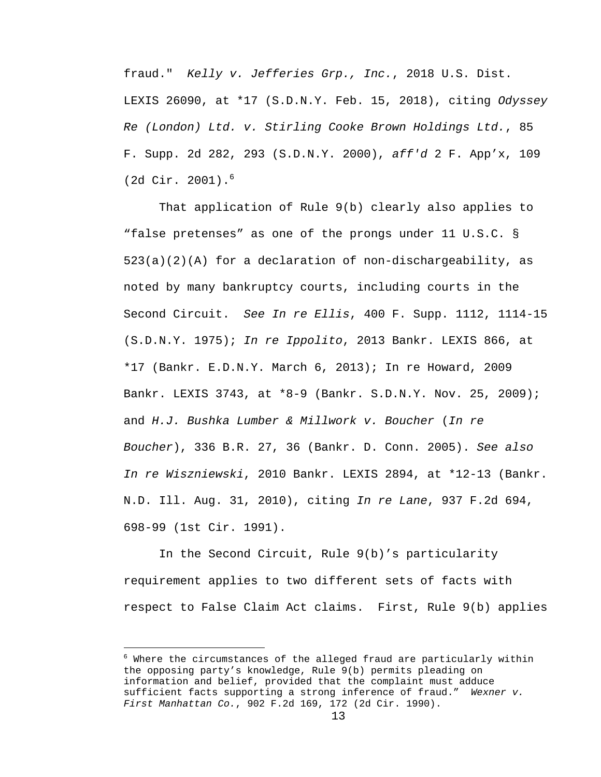fraud." *Kelly v. Jefferies Grp., Inc.*, 2018 U.S. Dist. LEXIS 26090, at \*17 (S.D.N.Y. Feb. 15, 2018), citing *Odyssey Re (London) Ltd. v. Stirling Cooke Brown Holdings Ltd.*, 85 F. Supp. 2d 282, 293 (S.D.N.Y. 2000), *aff'd* 2 F. App'x, 109 (2d Cir. 2001).<sup>6</sup>

That application of Rule 9(b) clearly also applies to "false pretenses" as one of the prongs under 11 U.S.C. § 523(a)(2)(A) for a declaration of non-dischargeability, as noted by many bankruptcy courts, including courts in the Second Circuit. *See In re Ellis*, 400 F. Supp. 1112, 1114-15 (S.D.N.Y. 1975); *In re Ippolito*, 2013 Bankr. LEXIS 866, at \*17 (Bankr. E.D.N.Y. March 6, 2013); In re Howard, 2009 Bankr. LEXIS 3743, at \*8-9 (Bankr. S.D.N.Y. Nov. 25, 2009); and *H.J. Bushka Lumber & Millwork v. Boucher* (*In re Boucher*), 336 B.R. 27, 36 (Bankr. D. Conn. 2005). *See also In re Wiszniewski*, 2010 Bankr. LEXIS 2894, at \*12-13 (Bankr. N.D. Ill. Aug. 31, 2010), citing *In re Lane*, 937 F.2d 694, 698-99 (1st Cir. 1991).

In the Second Circuit, Rule 9(b)'s particularity requirement applies to two different sets of facts with respect to False Claim Act claims. First, Rule 9(b) applies

 $\overline{\phantom{0}}$ 

 $^6$  Where the circumstances of the alleged fraud are particularly within the opposing party's knowledge, Rule 9(b) permits pleading on information and belief, provided that the complaint must adduce sufficient facts supporting a strong inference of fraud." *Wexner v. First Manhattan Co.*, 902 F.2d 169, 172 (2d Cir. 1990).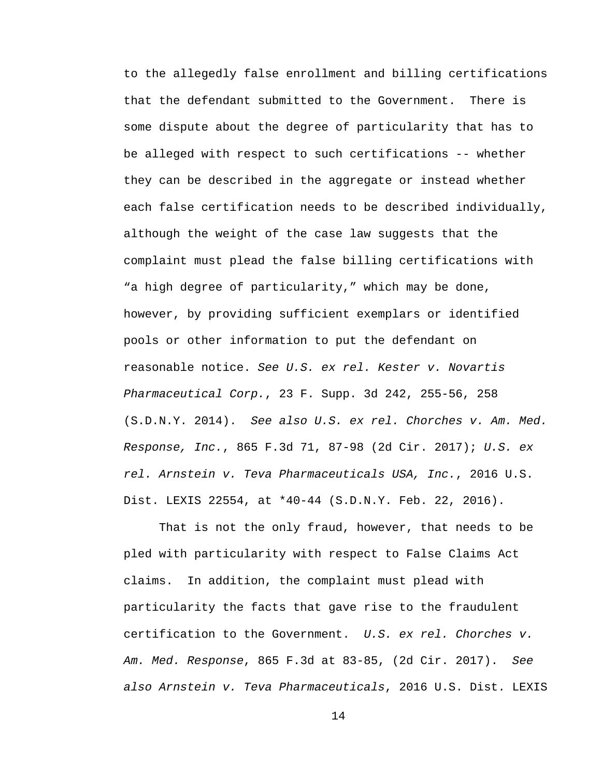to the allegedly false enrollment and billing certifications that the defendant submitted to the Government. There is some dispute about the degree of particularity that has to be alleged with respect to such certifications -- whether they can be described in the aggregate or instead whether each false certification needs to be described individually, although the weight of the case law suggests that the complaint must plead the false billing certifications with "a high degree of particularity," which may be done, however, by providing sufficient exemplars or identified pools or other information to put the defendant on reasonable notice. *See U.S. ex rel. Kester v. Novartis Pharmaceutical Corp.*, 23 F. Supp. 3d 242, 255-56, 258 (S.D.N.Y. 2014). *See also U.S. ex rel. Chorches v. Am. Med. Response, Inc.*, 865 F.3d 71, 87-98 (2d Cir. 2017); *U.S. ex rel. Arnstein v. Teva Pharmaceuticals USA, Inc.*, 2016 U.S. Dist. LEXIS 22554, at \*40-44 (S.D.N.Y. Feb. 22, 2016).

That is not the only fraud, however, that needs to be pled with particularity with respect to False Claims Act claims. In addition, the complaint must plead with particularity the facts that gave rise to the fraudulent certification to the Government. *U.S. ex rel. Chorches v. Am. Med. Response*, 865 F.3d at 83-85, (2d Cir. 2017). *See also Arnstein v. Teva Pharmaceuticals*, 2016 U.S. Dist. LEXIS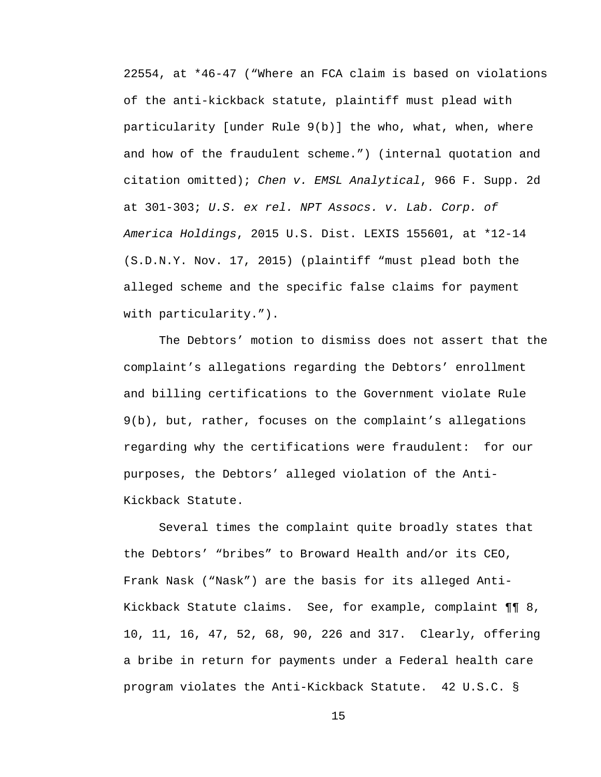22554, at \*46-47 ("Where an FCA claim is based on violations of the anti-kickback statute, plaintiff must plead with particularity [under Rule 9(b)] the who, what, when, where and how of the fraudulent scheme.") (internal quotation and citation omitted); *Chen v. EMSL Analytical*, 966 F. Supp. 2d at 301-303; *U.S. ex rel. NPT Assocs. v. Lab. Corp. of America Holdings*, 2015 U.S. Dist. LEXIS 155601, at \*12-14 (S.D.N.Y. Nov. 17, 2015) (plaintiff "must plead both the alleged scheme and the specific false claims for payment with particularity.").

The Debtors' motion to dismiss does not assert that the complaint's allegations regarding the Debtors' enrollment and billing certifications to the Government violate Rule 9(b), but, rather, focuses on the complaint's allegations regarding why the certifications were fraudulent: for our purposes, the Debtors' alleged violation of the Anti-Kickback Statute.

Several times the complaint quite broadly states that the Debtors' "bribes" to Broward Health and/or its CEO, Frank Nask ("Nask") are the basis for its alleged Anti-Kickback Statute claims. See, for example, complaint ¶¶ 8, 10, 11, 16, 47, 52, 68, 90, 226 and 317. Clearly, offering a bribe in return for payments under a Federal health care program violates the Anti-Kickback Statute. 42 U.S.C. §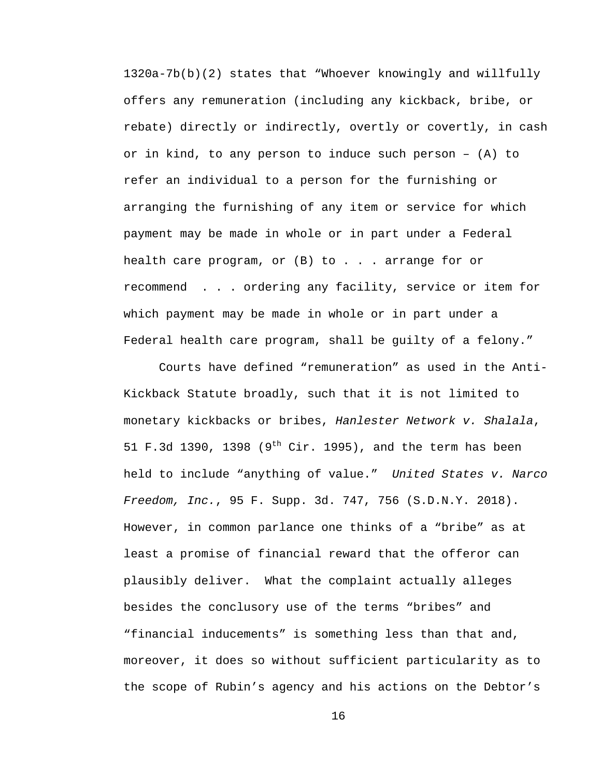1320a-7b(b)(2) states that "Whoever knowingly and willfully offers any remuneration (including any kickback, bribe, or rebate) directly or indirectly, overtly or covertly, in cash or in kind, to any person to induce such person – (A) to refer an individual to a person for the furnishing or arranging the furnishing of any item or service for which payment may be made in whole or in part under a Federal health care program, or  $(B)$  to  $\ldots$  arrange for or recommend . . . ordering any facility, service or item for which payment may be made in whole or in part under a Federal health care program, shall be guilty of a felony."

Courts have defined "remuneration" as used in the Anti-Kickback Statute broadly, such that it is not limited to monetary kickbacks or bribes, *Hanlester Network v. Shalala*, 51 F.3d 1390, 1398 ( $9^{th}$  Cir. 1995), and the term has been held to include "anything of value." *United States v. Narco Freedom, Inc.*, 95 F. Supp. 3d. 747, 756 (S.D.N.Y. 2018). However, in common parlance one thinks of a "bribe" as at least a promise of financial reward that the offeror can plausibly deliver. What the complaint actually alleges besides the conclusory use of the terms "bribes" and "financial inducements" is something less than that and, moreover, it does so without sufficient particularity as to the scope of Rubin's agency and his actions on the Debtor's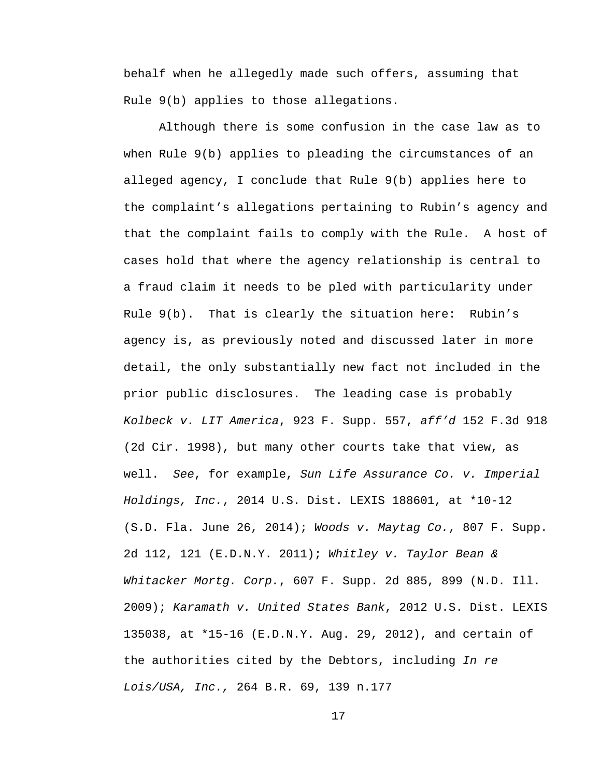behalf when he allegedly made such offers, assuming that Rule 9(b) applies to those allegations.

Although there is some confusion in the case law as to when Rule 9(b) applies to pleading the circumstances of an alleged agency, I conclude that Rule 9(b) applies here to the complaint's allegations pertaining to Rubin's agency and that the complaint fails to comply with the Rule. A host of cases hold that where the agency relationship is central to a fraud claim it needs to be pled with particularity under Rule  $9(b)$ . That is clearly the situation here: Rubin's agency is, as previously noted and discussed later in more detail, the only substantially new fact not included in the prior public disclosures. The leading case is probably *Kolbeck v. LIT America*, 923 F. Supp. 557, *aff'd* 152 F.3d 918 (2d Cir. 1998), but many other courts take that view, as well. *See*, for example, *Sun Life Assurance Co. v. Imperial Holdings, Inc.*, 2014 U.S. Dist. LEXIS 188601, at \*10-12 (S.D. Fla. June 26, 2014); *Woods v. Maytag Co.*, 807 F. Supp. 2d 112, 121 (E.D.N.Y. 2011); *Whitley v. Taylor Bean & Whitacker Mortg. Corp.*, 607 F. Supp. 2d 885, 899 (N.D. Ill. 2009); *Karamath v. United States Bank*, 2012 U.S. Dist. LEXIS 135038, at \*15-16 (E.D.N.Y. Aug. 29, 2012), and certain of the authorities cited by the Debtors, including *In re Lois/USA, Inc.,* 264 B.R. 69, 139 n.177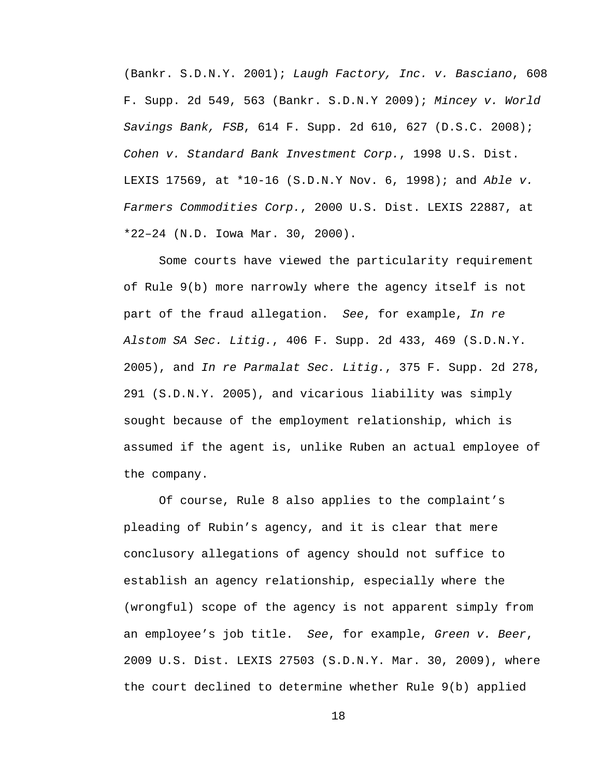(Bankr. S.D.N.Y. 2001); *Laugh Factory, Inc. v. Basciano*, 608 F. Supp. 2d 549, 563 (Bankr. S.D.N.Y 2009); *Mincey v. World Savings Bank, FSB*, 614 F. Supp. 2d 610, 627 (D.S.C. 2008); *Cohen v. Standard Bank Investment Corp.*, 1998 U.S. Dist. LEXIS 17569, at \*10-16 (S.D.N.Y Nov. 6, 1998); and *Able v. Farmers Commodities Corp.*, 2000 U.S. Dist. LEXIS 22887, at \*22–24 (N.D. Iowa Mar. 30, 2000).

Some courts have viewed the particularity requirement of Rule 9(b) more narrowly where the agency itself is not part of the fraud allegation. *See*, for example, *In re Alstom SA Sec. Litig.*, 406 F. Supp. 2d 433, 469 (S.D.N.Y. 2005), and *In re Parmalat Sec. Litig.*, 375 F. Supp. 2d 278, 291 (S.D.N.Y. 2005), and vicarious liability was simply sought because of the employment relationship, which is assumed if the agent is, unlike Ruben an actual employee of the company.

Of course, Rule 8 also applies to the complaint's pleading of Rubin's agency, and it is clear that mere conclusory allegations of agency should not suffice to establish an agency relationship, especially where the (wrongful) scope of the agency is not apparent simply from an employee's job title. *See*, for example, *Green v. Beer*, 2009 U.S. Dist. LEXIS 27503 (S.D.N.Y. Mar. 30, 2009), where the court declined to determine whether Rule 9(b) applied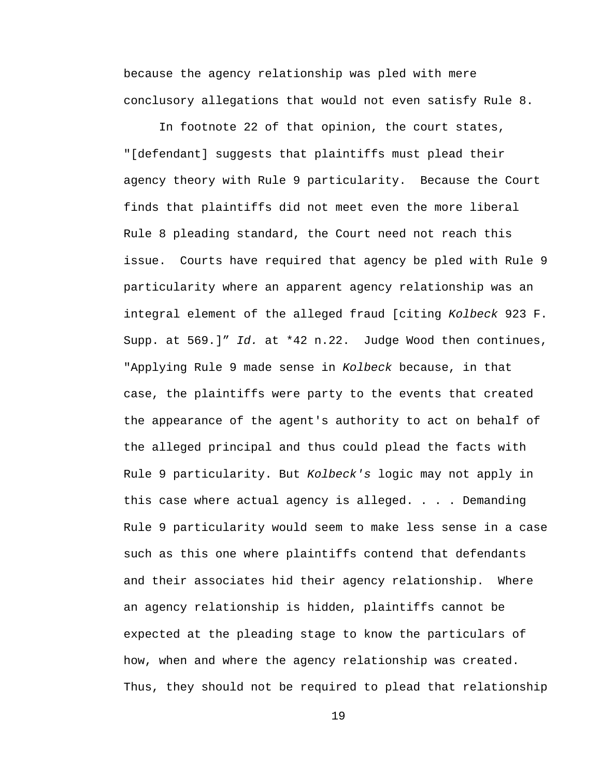because the agency relationship was pled with mere conclusory allegations that would not even satisfy Rule 8.

In footnote 22 of that opinion, the court states, "[defendant] suggests that plaintiffs must plead their agency theory with Rule 9 particularity. Because the Court finds that plaintiffs did not meet even the more liberal Rule 8 pleading standard, the Court need not reach this issue. Courts have required that agency be pled with Rule 9 particularity where an apparent agency relationship was an integral element of the alleged fraud [citing *Kolbeck* 923 F. Supp. at 569.]" *Id.* at \*42 n.22. Judge Wood then continues, "Applying Rule 9 made sense in *Kolbeck* because, in that case, the plaintiffs were party to the events that created the appearance of the agent's authority to act on behalf of the alleged principal and thus could plead the facts with Rule 9 particularity. But *Kolbeck's* logic may not apply in this case where actual agency is alleged. . . . Demanding Rule 9 particularity would seem to make less sense in a case such as this one where plaintiffs contend that defendants and their associates hid their agency relationship. Where an agency relationship is hidden, plaintiffs cannot be expected at the pleading stage to know the particulars of how, when and where the agency relationship was created. Thus, they should not be required to plead that relationship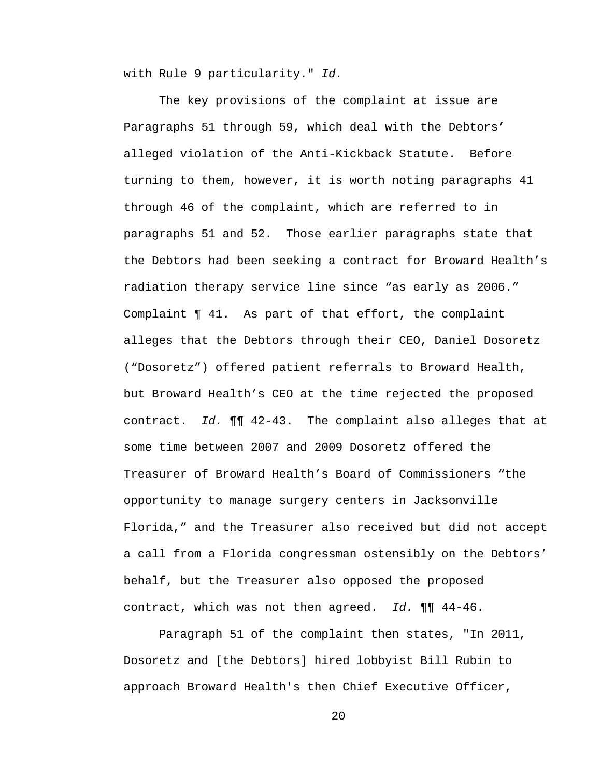with Rule 9 particularity." *Id.*

The key provisions of the complaint at issue are Paragraphs 51 through 59, which deal with the Debtors' alleged violation of the Anti-Kickback Statute. Before turning to them, however, it is worth noting paragraphs 41 through 46 of the complaint, which are referred to in paragraphs 51 and 52. Those earlier paragraphs state that the Debtors had been seeking a contract for Broward Health's radiation therapy service line since "as early as 2006." Complaint ¶ 41. As part of that effort, the complaint alleges that the Debtors through their CEO, Daniel Dosoretz ("Dosoretz") offered patient referrals to Broward Health, but Broward Health's CEO at the time rejected the proposed contract. *Id.* ¶¶ 42-43. The complaint also alleges that at some time between 2007 and 2009 Dosoretz offered the Treasurer of Broward Health's Board of Commissioners "the opportunity to manage surgery centers in Jacksonville Florida," and the Treasurer also received but did not accept a call from a Florida congressman ostensibly on the Debtors' behalf, but the Treasurer also opposed the proposed contract, which was not then agreed. *Id.* ¶¶ 44-46.

Paragraph 51 of the complaint then states, "In 2011, Dosoretz and [the Debtors] hired lobbyist Bill Rubin to approach Broward Health's then Chief Executive Officer,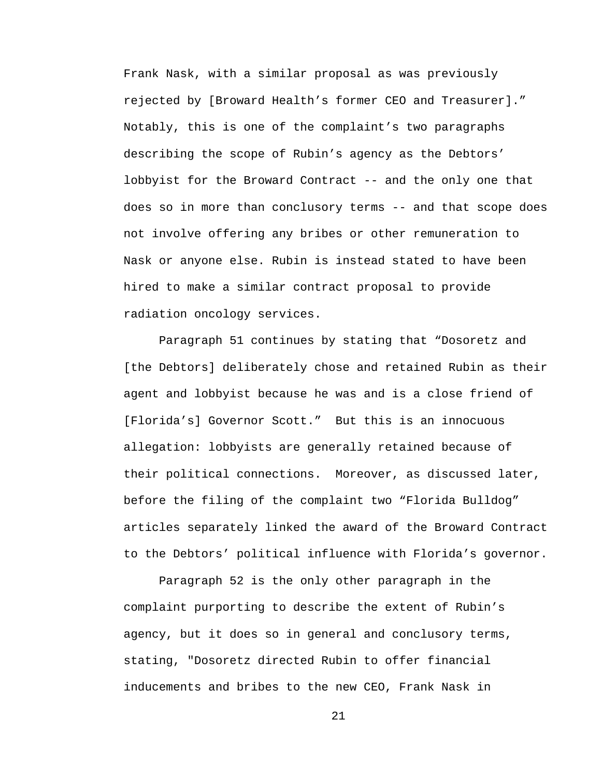Frank Nask, with a similar proposal as was previously rejected by [Broward Health's former CEO and Treasurer]." Notably, this is one of the complaint's two paragraphs describing the scope of Rubin's agency as the Debtors' lobbyist for the Broward Contract -- and the only one that does so in more than conclusory terms -- and that scope does not involve offering any bribes or other remuneration to Nask or anyone else. Rubin is instead stated to have been hired to make a similar contract proposal to provide radiation oncology services.

Paragraph 51 continues by stating that "Dosoretz and [the Debtors] deliberately chose and retained Rubin as their agent and lobbyist because he was and is a close friend of [Florida's] Governor Scott." But this is an innocuous allegation: lobbyists are generally retained because of their political connections. Moreover, as discussed later, before the filing of the complaint two "Florida Bulldog" articles separately linked the award of the Broward Contract to the Debtors' political influence with Florida's governor.

Paragraph 52 is the only other paragraph in the complaint purporting to describe the extent of Rubin's agency, but it does so in general and conclusory terms, stating, "Dosoretz directed Rubin to offer financial inducements and bribes to the new CEO, Frank Nask in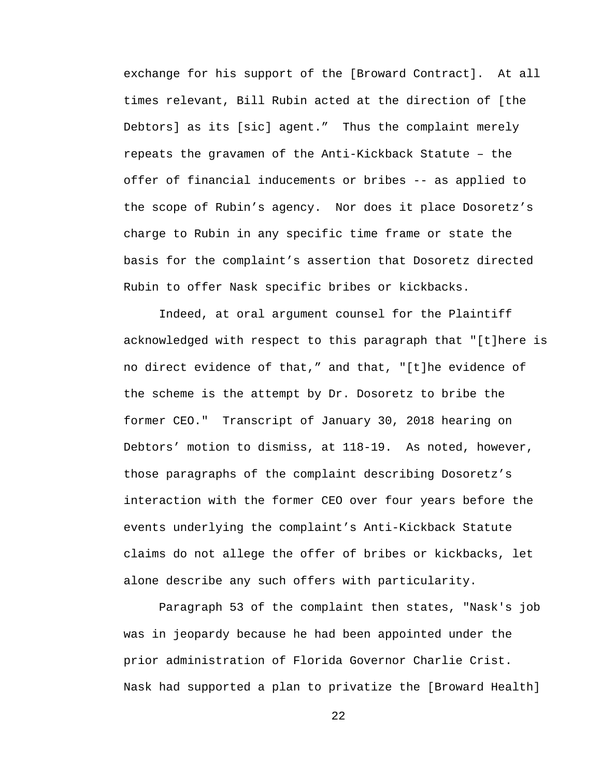exchange for his support of the [Broward Contract]. At all times relevant, Bill Rubin acted at the direction of [the Debtors] as its [sic] agent." Thus the complaint merely repeats the gravamen of the Anti-Kickback Statute – the offer of financial inducements or bribes -- as applied to the scope of Rubin's agency. Nor does it place Dosoretz's charge to Rubin in any specific time frame or state the basis for the complaint's assertion that Dosoretz directed Rubin to offer Nask specific bribes or kickbacks.

Indeed, at oral argument counsel for the Plaintiff acknowledged with respect to this paragraph that "[t]here is no direct evidence of that," and that, "[t]he evidence of the scheme is the attempt by Dr. Dosoretz to bribe the former CEO." Transcript of January 30, 2018 hearing on Debtors' motion to dismiss, at 118-19. As noted, however, those paragraphs of the complaint describing Dosoretz's interaction with the former CEO over four years before the events underlying the complaint's Anti-Kickback Statute claims do not allege the offer of bribes or kickbacks, let alone describe any such offers with particularity.

Paragraph 53 of the complaint then states, "Nask's job was in jeopardy because he had been appointed under the prior administration of Florida Governor Charlie Crist. Nask had supported a plan to privatize the [Broward Health]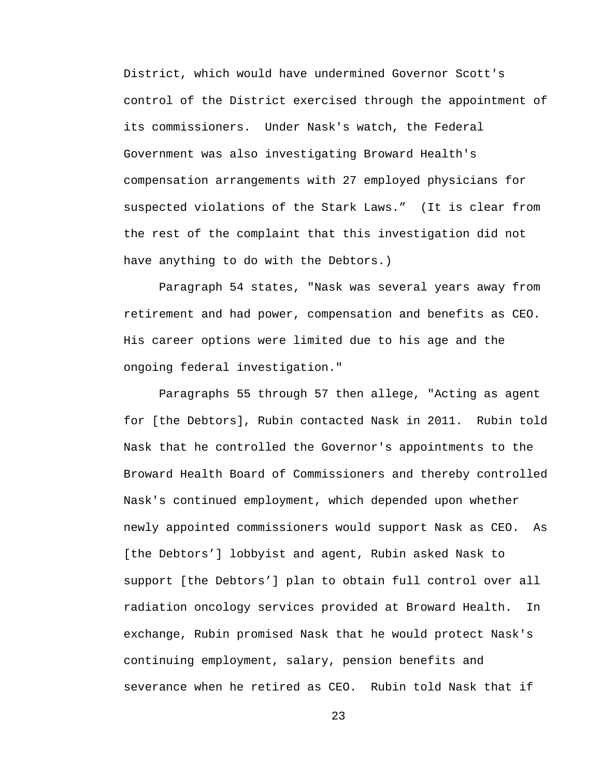District, which would have undermined Governor Scott's control of the District exercised through the appointment of its commissioners. Under Nask's watch, the Federal Government was also investigating Broward Health's compensation arrangements with 27 employed physicians for suspected violations of the Stark Laws." (It is clear from the rest of the complaint that this investigation did not have anything to do with the Debtors.)

Paragraph 54 states, "Nask was several years away from retirement and had power, compensation and benefits as CEO. His career options were limited due to his age and the ongoing federal investigation."

Paragraphs 55 through 57 then allege, "Acting as agent for [the Debtors], Rubin contacted Nask in 2011. Rubin told Nask that he controlled the Governor's appointments to the Broward Health Board of Commissioners and thereby controlled Nask's continued employment, which depended upon whether newly appointed commissioners would support Nask as CEO. As [the Debtors'] lobbyist and agent, Rubin asked Nask to support [the Debtors'] plan to obtain full control over all radiation oncology services provided at Broward Health. In exchange, Rubin promised Nask that he would protect Nask's continuing employment, salary, pension benefits and severance when he retired as CEO. Rubin told Nask that if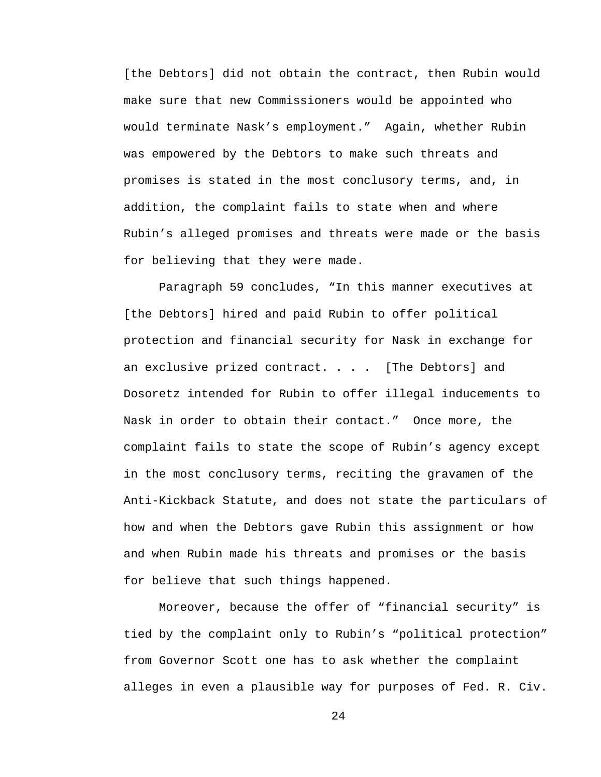[the Debtors] did not obtain the contract, then Rubin would make sure that new Commissioners would be appointed who would terminate Nask's employment." Again, whether Rubin was empowered by the Debtors to make such threats and promises is stated in the most conclusory terms, and, in addition, the complaint fails to state when and where Rubin's alleged promises and threats were made or the basis for believing that they were made.

Paragraph 59 concludes, "In this manner executives at [the Debtors] hired and paid Rubin to offer political protection and financial security for Nask in exchange for an exclusive prized contract. . . . [The Debtors] and Dosoretz intended for Rubin to offer illegal inducements to Nask in order to obtain their contact." Once more, the complaint fails to state the scope of Rubin's agency except in the most conclusory terms, reciting the gravamen of the Anti-Kickback Statute, and does not state the particulars of how and when the Debtors gave Rubin this assignment or how and when Rubin made his threats and promises or the basis for believe that such things happened.

Moreover, because the offer of "financial security" is tied by the complaint only to Rubin's "political protection" from Governor Scott one has to ask whether the complaint alleges in even a plausible way for purposes of Fed. R. Civ.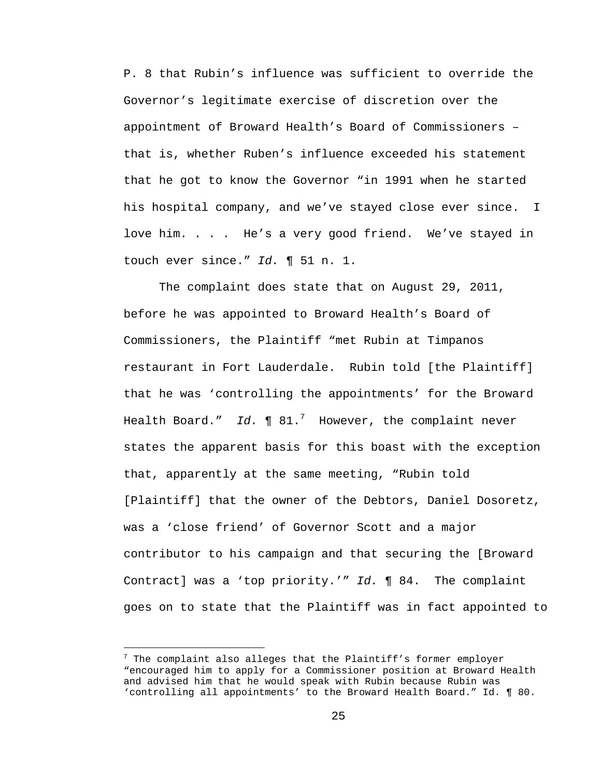P. 8 that Rubin's influence was sufficient to override the Governor's legitimate exercise of discretion over the appointment of Broward Health's Board of Commissioners – that is, whether Ruben's influence exceeded his statement that he got to know the Governor "in 1991 when he started his hospital company, and we've stayed close ever since. I love him. . . . He's a very good friend. We've stayed in touch ever since." *Id.* ¶ 51 n. 1.

The complaint does state that on August 29, 2011, before he was appointed to Broward Health's Board of Commissioners, the Plaintiff "met Rubin at Timpanos restaurant in Fort Lauderdale. Rubin told [the Plaintiff] that he was 'controlling the appointments' for the Broward Health Board." *Id.* ¶ 81.<sup>7</sup> However, the complaint never states the apparent basis for this boast with the exception that, apparently at the same meeting, "Rubin told [Plaintiff] that the owner of the Debtors, Daniel Dosoretz, was a 'close friend' of Governor Scott and a major contributor to his campaign and that securing the [Broward Contract] was a 'top priority.'" *Id.* ¶ 84. The complaint goes on to state that the Plaintiff was in fact appointed to

 $\overline{\phantom{0}}$ 

 $^7$  The complaint also alleges that the Plaintiff's former employer "encouraged him to apply for a Commissioner position at Broward Health and advised him that he would speak with Rubin because Rubin was 'controlling all appointments' to the Broward Health Board." Id. ¶ 80.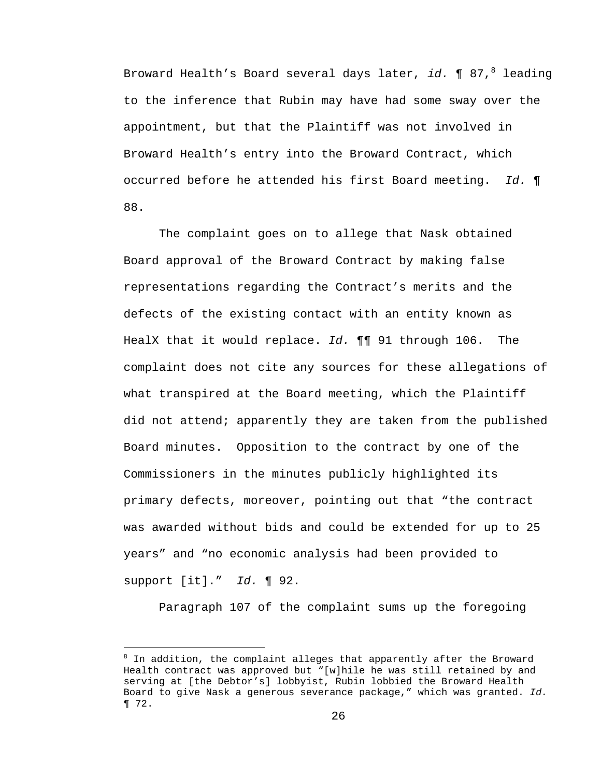Broward Health's Board several days later, *id.* ¶ 87,<sup>8</sup> leading to the inference that Rubin may have had some sway over the appointment, but that the Plaintiff was not involved in Broward Health's entry into the Broward Contract, which occurred before he attended his first Board meeting. *Id.* ¶ 88.

The complaint goes on to allege that Nask obtained Board approval of the Broward Contract by making false representations regarding the Contract's merits and the defects of the existing contact with an entity known as HealX that it would replace. *Id.* ¶¶ 91 through 106. The complaint does not cite any sources for these allegations of what transpired at the Board meeting, which the Plaintiff did not attend; apparently they are taken from the published Board minutes. Opposition to the contract by one of the Commissioners in the minutes publicly highlighted its primary defects, moreover, pointing out that "the contract was awarded without bids and could be extended for up to 25 years" and "no economic analysis had been provided to support [it]." *Id.* ¶ 92.

Paragraph 107 of the complaint sums up the foregoing

i<br>Li

<sup>&</sup>lt;sup>8</sup> In addition, the complaint alleges that apparently after the Broward Health contract was approved but "[w]hile he was still retained by and serving at [the Debtor's] lobbyist, Rubin lobbied the Broward Health Board to give Nask a generous severance package," which was granted. *Id.* ¶ 72.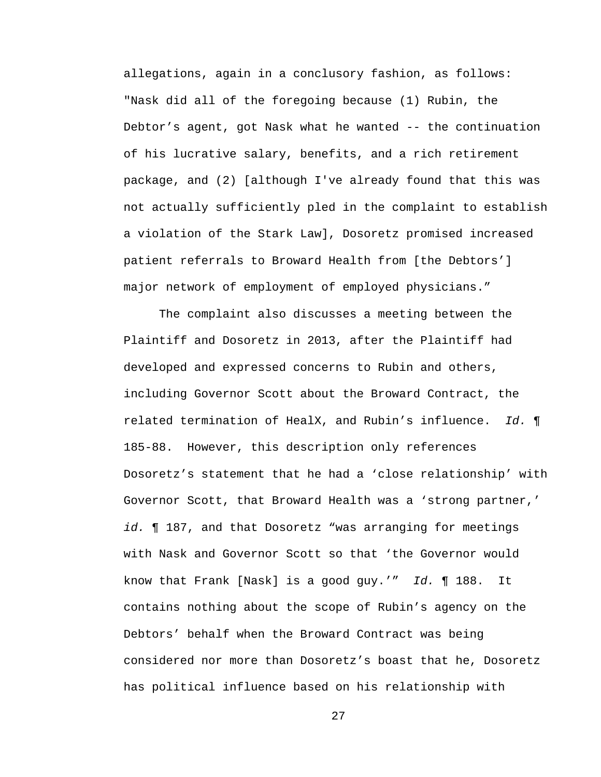allegations, again in a conclusory fashion, as follows: "Nask did all of the foregoing because (1) Rubin, the Debtor's agent, got Nask what he wanted -- the continuation of his lucrative salary, benefits, and a rich retirement package, and (2) [although I've already found that this was not actually sufficiently pled in the complaint to establish a violation of the Stark Law], Dosoretz promised increased patient referrals to Broward Health from [the Debtors'] major network of employment of employed physicians."

The complaint also discusses a meeting between the Plaintiff and Dosoretz in 2013, after the Plaintiff had developed and expressed concerns to Rubin and others, including Governor Scott about the Broward Contract, the related termination of HealX, and Rubin's influence. *Id.* ¶ 185-88. However, this description only references Dosoretz's statement that he had a 'close relationship' with Governor Scott, that Broward Health was a 'strong partner,' *id.* ¶ 187, and that Dosoretz "was arranging for meetings with Nask and Governor Scott so that 'the Governor would know that Frank [Nask] is a good guy.'" *Id.* ¶ 188. It contains nothing about the scope of Rubin's agency on the Debtors' behalf when the Broward Contract was being considered nor more than Dosoretz's boast that he, Dosoretz has political influence based on his relationship with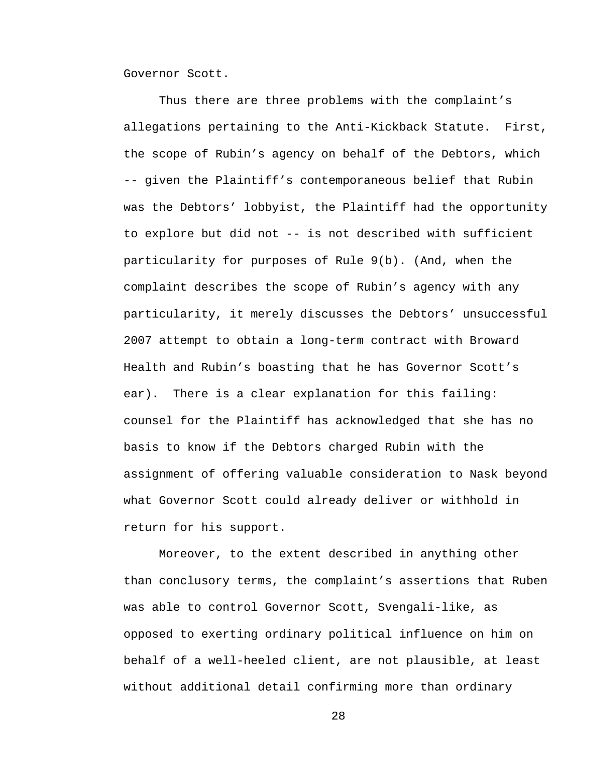Governor Scott.

Thus there are three problems with the complaint's allegations pertaining to the Anti-Kickback Statute. First, the scope of Rubin's agency on behalf of the Debtors, which -- given the Plaintiff's contemporaneous belief that Rubin was the Debtors' lobbyist, the Plaintiff had the opportunity to explore but did not -- is not described with sufficient particularity for purposes of Rule 9(b). (And, when the complaint describes the scope of Rubin's agency with any particularity, it merely discusses the Debtors' unsuccessful 2007 attempt to obtain a long-term contract with Broward Health and Rubin's boasting that he has Governor Scott's ear). There is a clear explanation for this failing: counsel for the Plaintiff has acknowledged that she has no basis to know if the Debtors charged Rubin with the assignment of offering valuable consideration to Nask beyond what Governor Scott could already deliver or withhold in return for his support.

Moreover, to the extent described in anything other than conclusory terms, the complaint's assertions that Ruben was able to control Governor Scott, Svengali-like, as opposed to exerting ordinary political influence on him on behalf of a well-heeled client, are not plausible, at least without additional detail confirming more than ordinary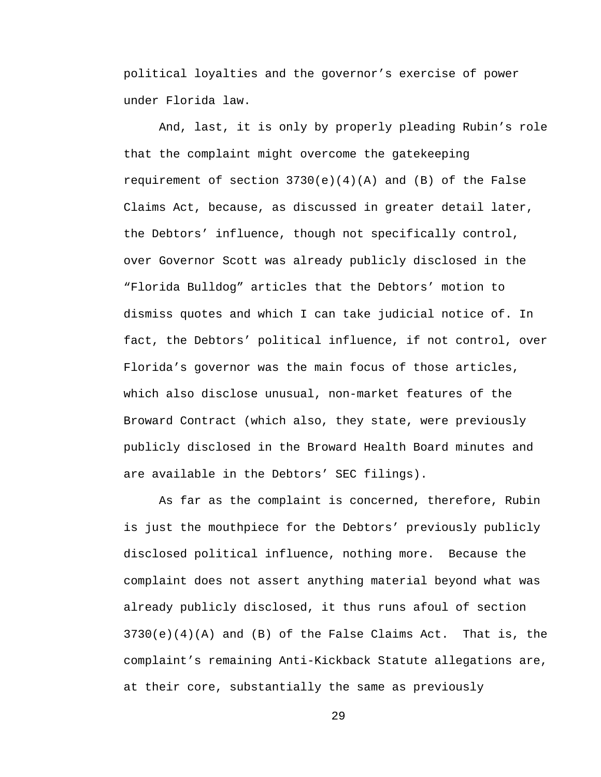political loyalties and the governor's exercise of power under Florida law.

And, last, it is only by properly pleading Rubin's role that the complaint might overcome the gatekeeping requirement of section  $3730(e)(4)(A)$  and (B) of the False Claims Act, because, as discussed in greater detail later, the Debtors' influence, though not specifically control, over Governor Scott was already publicly disclosed in the "Florida Bulldog" articles that the Debtors' motion to dismiss quotes and which I can take judicial notice of. In fact, the Debtors' political influence, if not control, over Florida's governor was the main focus of those articles, which also disclose unusual, non-market features of the Broward Contract (which also, they state, were previously publicly disclosed in the Broward Health Board minutes and are available in the Debtors' SEC filings).

As far as the complaint is concerned, therefore, Rubin is just the mouthpiece for the Debtors' previously publicly disclosed political influence, nothing more. Because the complaint does not assert anything material beyond what was already publicly disclosed, it thus runs afoul of section  $3730(e)(4)(A)$  and (B) of the False Claims Act. That is, the complaint's remaining Anti-Kickback Statute allegations are, at their core, substantially the same as previously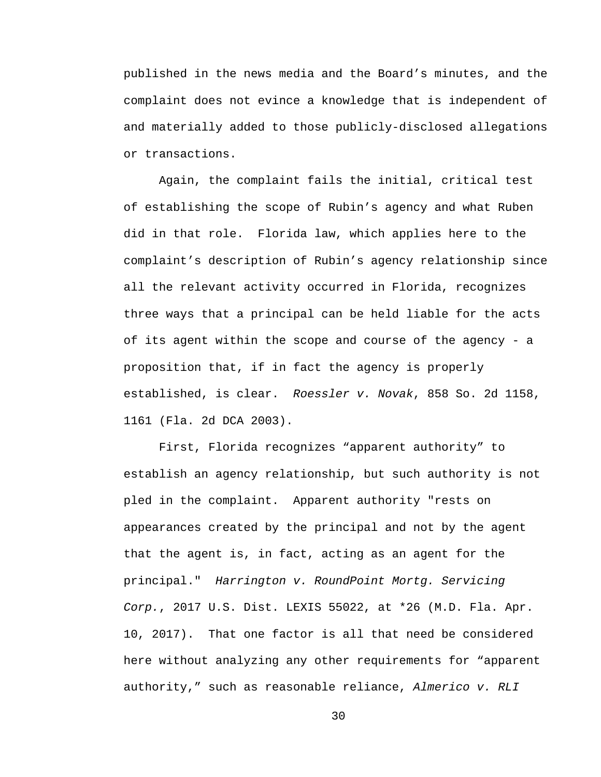published in the news media and the Board's minutes, and the complaint does not evince a knowledge that is independent of and materially added to those publicly-disclosed allegations or transactions.

Again, the complaint fails the initial, critical test of establishing the scope of Rubin's agency and what Ruben did in that role. Florida law, which applies here to the complaint's description of Rubin's agency relationship since all the relevant activity occurred in Florida, recognizes three ways that a principal can be held liable for the acts of its agent within the scope and course of the agency - a proposition that, if in fact the agency is properly established, is clear. *Roessler v. Novak*, 858 So. 2d 1158, 1161 (Fla. 2d DCA 2003).

First, Florida recognizes "apparent authority" to establish an agency relationship, but such authority is not pled in the complaint. Apparent authority "rests on appearances created by the principal and not by the agent that the agent is, in fact, acting as an agent for the principal." *Harrington v. RoundPoint Mortg. Servicing Corp.*, 2017 U.S. Dist. LEXIS 55022, at \*26 (M.D. Fla. Apr. 10, 2017). That one factor is all that need be considered here without analyzing any other requirements for "apparent authority," such as reasonable reliance, *Almerico v. RLI*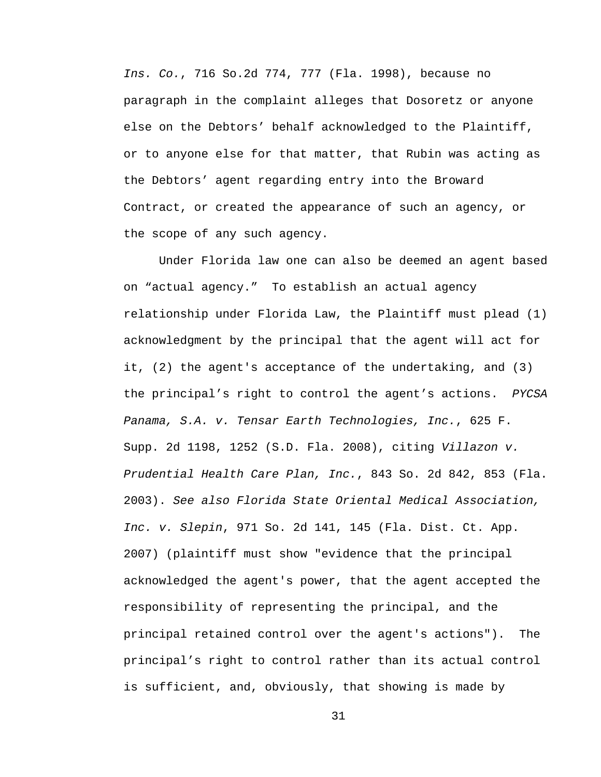*Ins. Co.*, 716 So.2d 774, 777 (Fla. 1998), because no paragraph in the complaint alleges that Dosoretz or anyone else on the Debtors' behalf acknowledged to the Plaintiff, or to anyone else for that matter, that Rubin was acting as the Debtors' agent regarding entry into the Broward Contract, or created the appearance of such an agency, or the scope of any such agency.

Under Florida law one can also be deemed an agent based on "actual agency." To establish an actual agency relationship under Florida Law, the Plaintiff must plead (1) acknowledgment by the principal that the agent will act for it, (2) the agent's acceptance of the undertaking, and (3) the principal's right to control the agent's actions. *PYCSA Panama, S.A. v. Tensar Earth Technologies, Inc.*, 625 F. Supp. 2d 1198, 1252 (S.D. Fla. 2008), citing *Villazon v. Prudential Health Care Plan, Inc.*, 843 So. 2d 842, 853 (Fla. 2003). *See also Florida State Oriental Medical Association, Inc. v. Slepin*, 971 So. 2d 141, 145 (Fla. Dist. Ct. App. 2007) (plaintiff must show "evidence that the principal acknowledged the agent's power, that the agent accepted the responsibility of representing the principal, and the principal retained control over the agent's actions"). The principal's right to control rather than its actual control is sufficient, and, obviously, that showing is made by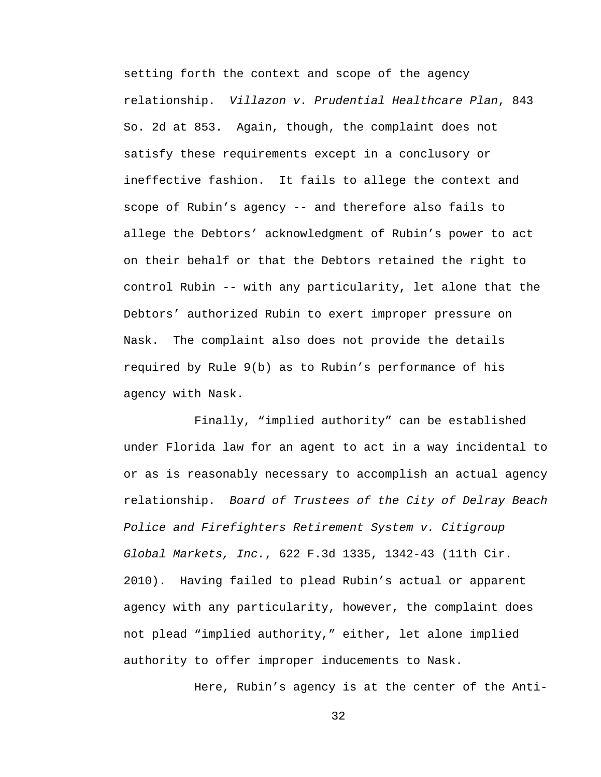setting forth the context and scope of the agency relationship. *Villazon v. Prudential Healthcare Plan*, 843 So. 2d at 853. Again, though, the complaint does not satisfy these requirements except in a conclusory or ineffective fashion. It fails to allege the context and scope of Rubin's agency -- and therefore also fails to allege the Debtors' acknowledgment of Rubin's power to act on their behalf or that the Debtors retained the right to control Rubin -- with any particularity, let alone that the Debtors' authorized Rubin to exert improper pressure on Nask. The complaint also does not provide the details required by Rule 9(b) as to Rubin's performance of his agency with Nask.

Finally, "implied authority" can be established under Florida law for an agent to act in a way incidental to or as is reasonably necessary to accomplish an actual agency relationship. *Board of Trustees of the City of Delray Beach Police and Firefighters Retirement System v. Citigroup Global Markets, Inc.*, 622 F.3d 1335, 1342-43 (11th Cir. 2010). Having failed to plead Rubin's actual or apparent agency with any particularity, however, the complaint does not plead "implied authority," either, let alone implied authority to offer improper inducements to Nask.

Here, Rubin's agency is at the center of the Anti-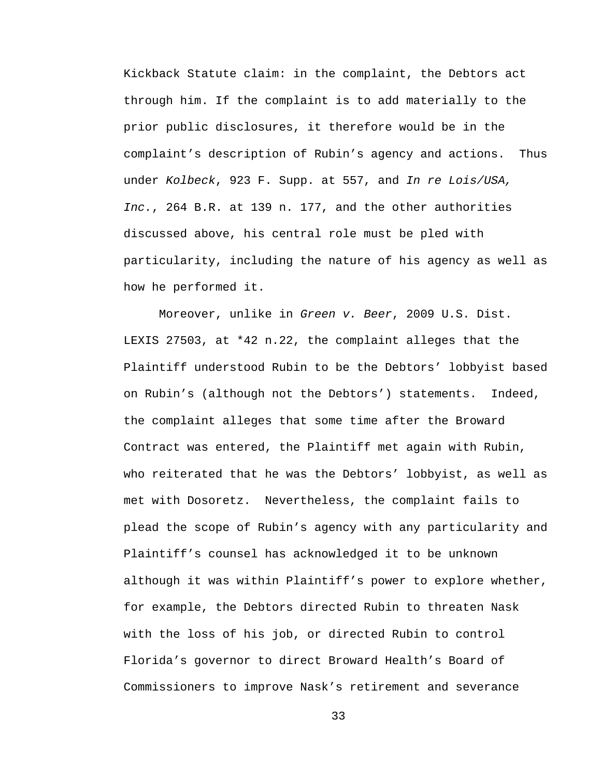Kickback Statute claim: in the complaint, the Debtors act through him. If the complaint is to add materially to the prior public disclosures, it therefore would be in the complaint's description of Rubin's agency and actions. Thus under *Kolbeck*, 923 F. Supp. at 557, and *In re Lois/USA, Inc.*, 264 B.R. at 139 n. 177, and the other authorities discussed above, his central role must be pled with particularity, including the nature of his agency as well as how he performed it.

Moreover, unlike in *Green v. Beer*, 2009 U.S. Dist. LEXIS 27503, at \*42 n.22, the complaint alleges that the Plaintiff understood Rubin to be the Debtors' lobbyist based on Rubin's (although not the Debtors') statements. Indeed, the complaint alleges that some time after the Broward Contract was entered, the Plaintiff met again with Rubin, who reiterated that he was the Debtors' lobbyist, as well as met with Dosoretz. Nevertheless, the complaint fails to plead the scope of Rubin's agency with any particularity and Plaintiff's counsel has acknowledged it to be unknown although it was within Plaintiff's power to explore whether, for example, the Debtors directed Rubin to threaten Nask with the loss of his job, or directed Rubin to control Florida's governor to direct Broward Health's Board of Commissioners to improve Nask's retirement and severance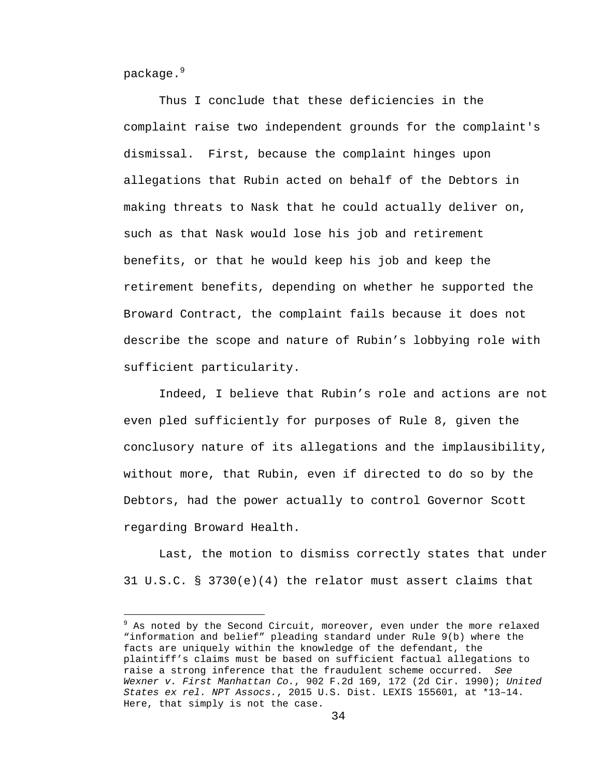package.<sup>9</sup>

i

Thus I conclude that these deficiencies in the complaint raise two independent grounds for the complaint's dismissal. First, because the complaint hinges upon allegations that Rubin acted on behalf of the Debtors in making threats to Nask that he could actually deliver on, such as that Nask would lose his job and retirement benefits, or that he would keep his job and keep the retirement benefits, depending on whether he supported the Broward Contract, the complaint fails because it does not describe the scope and nature of Rubin's lobbying role with sufficient particularity.

Indeed, I believe that Rubin's role and actions are not even pled sufficiently for purposes of Rule 8, given the conclusory nature of its allegations and the implausibility, without more, that Rubin, even if directed to do so by the Debtors, had the power actually to control Governor Scott regarding Broward Health.

Last, the motion to dismiss correctly states that under 31 U.S.C. § 3730(e)(4) the relator must assert claims that

<sup>&</sup>lt;sup>9</sup> As noted by the Second Circuit, moreover, even under the more relaxed "information and belief" pleading standard under Rule 9(b) where the facts are uniquely within the knowledge of the defendant, the plaintiff's claims must be based on sufficient factual allegations to raise a strong inference that the fraudulent scheme occurred. *See Wexner v. First Manhattan Co.*, 902 F.2d 169, 172 (2d Cir. 1990); *United States ex rel. NPT Assocs.*, 2015 U.S. Dist. LEXIS 155601, at \*13–14. Here, that simply is not the case.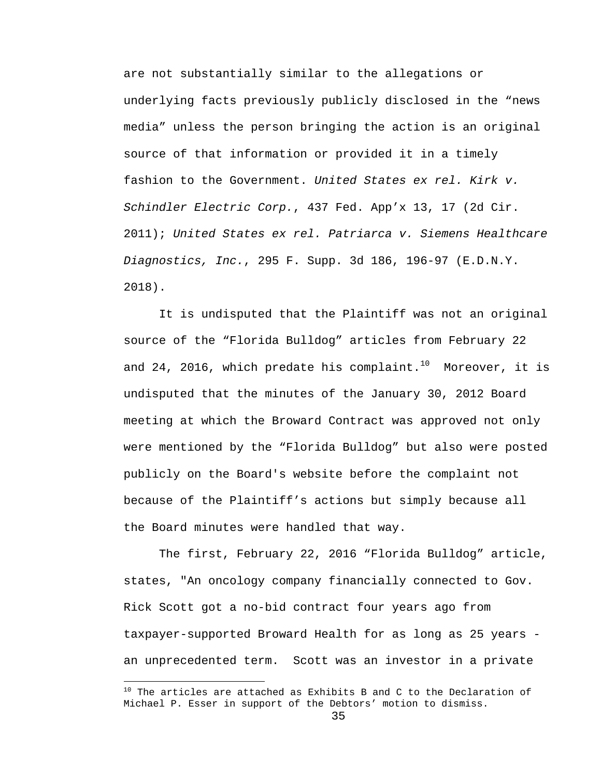are not substantially similar to the allegations or underlying facts previously publicly disclosed in the "news media" unless the person bringing the action is an original source of that information or provided it in a timely fashion to the Government. *United States ex rel. Kirk v. Schindler Electric Corp.*, 437 Fed. App'x 13, 17 (2d Cir. 2011); *United States ex rel. Patriarca v. Siemens Healthcare Diagnostics, Inc.*, 295 F. Supp. 3d 186, 196-97 (E.D.N.Y. 2018).

It is undisputed that the Plaintiff was not an original source of the "Florida Bulldog" articles from February 22 and 24, 2016, which predate his complaint.<sup>10</sup> Moreover, it is undisputed that the minutes of the January 30, 2012 Board meeting at which the Broward Contract was approved not only were mentioned by the "Florida Bulldog" but also were posted publicly on the Board's website before the complaint not because of the Plaintiff's actions but simply because all the Board minutes were handled that way.

The first, February 22, 2016 "Florida Bulldog" article, states, "An oncology company financially connected to Gov. Rick Scott got a no-bid contract four years ago from taxpayer-supported Broward Health for as long as 25 years an unprecedented term. Scott was an investor in a private

i

 $10$  The articles are attached as Exhibits B and C to the Declaration of Michael P. Esser in support of the Debtors' motion to dismiss.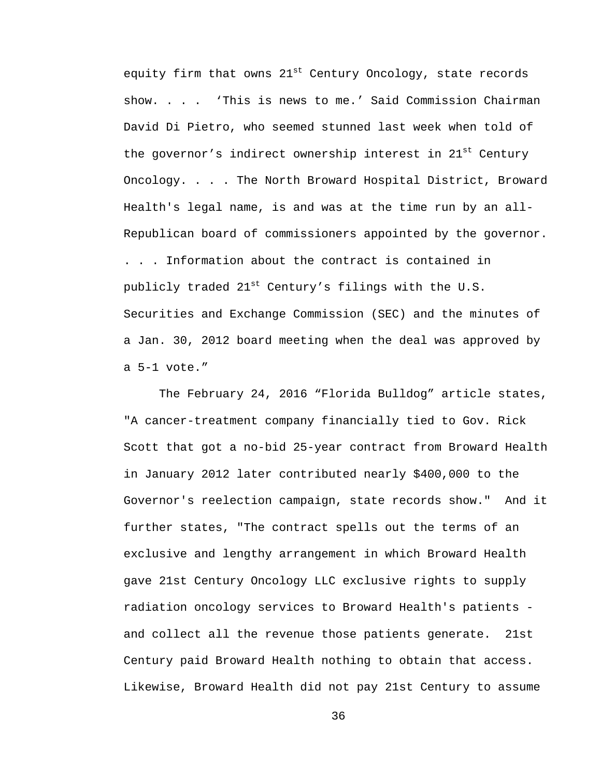equity firm that owns  $21^{st}$  Century Oncology, state records show. . . . 'This is news to me.' Said Commission Chairman David Di Pietro, who seemed stunned last week when told of the governor's indirect ownership interest in 21<sup>st</sup> Century Oncology. . . . The North Broward Hospital District, Broward Health's legal name, is and was at the time run by an all-Republican board of commissioners appointed by the governor. . . . Information about the contract is contained in publicly traded  $21^{st}$  Century's filings with the U.S. Securities and Exchange Commission (SEC) and the minutes of a Jan. 30, 2012 board meeting when the deal was approved by a 5-1 vote."

The February 24, 2016 "Florida Bulldog" article states, "A cancer-treatment company financially tied to Gov. Rick Scott that got a no-bid 25-year contract from Broward Health in January 2012 later contributed nearly \$400,000 to the Governor's reelection campaign, state records show." And it further states, "The contract spells out the terms of an exclusive and lengthy arrangement in which Broward Health gave 21st Century Oncology LLC exclusive rights to supply radiation oncology services to Broward Health's patients and collect all the revenue those patients generate. 21st Century paid Broward Health nothing to obtain that access. Likewise, Broward Health did not pay 21st Century to assume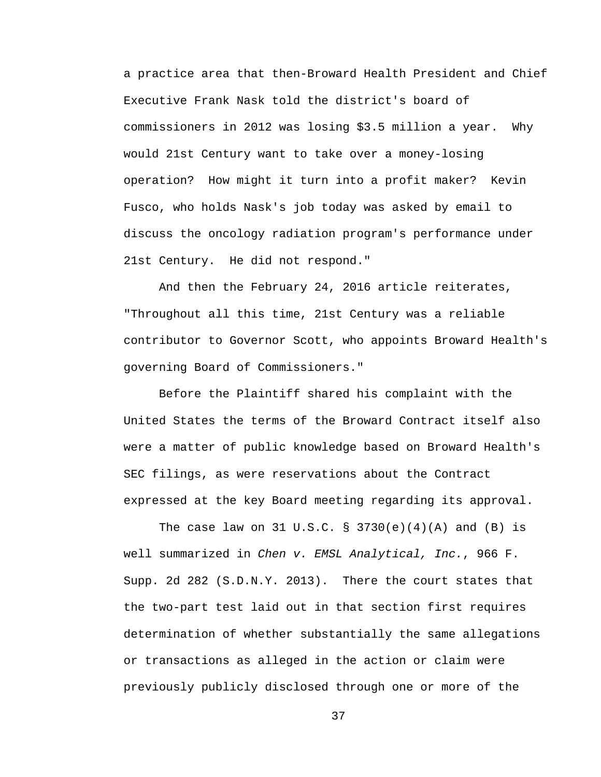a practice area that then-Broward Health President and Chief Executive Frank Nask told the district's board of commissioners in 2012 was losing \$3.5 million a year. Why would 21st Century want to take over a money-losing operation? How might it turn into a profit maker? Kevin Fusco, who holds Nask's job today was asked by email to discuss the oncology radiation program's performance under 21st Century. He did not respond."

And then the February 24, 2016 article reiterates, "Throughout all this time, 21st Century was a reliable contributor to Governor Scott, who appoints Broward Health's governing Board of Commissioners."

Before the Plaintiff shared his complaint with the United States the terms of the Broward Contract itself also were a matter of public knowledge based on Broward Health's SEC filings, as were reservations about the Contract expressed at the key Board meeting regarding its approval.

The case law on 31 U.S.C. § 3730(e)(4)(A) and (B) is well summarized in *Chen v. EMSL Analytical, Inc.*, 966 F. Supp. 2d 282 (S.D.N.Y. 2013). There the court states that the two-part test laid out in that section first requires determination of whether substantially the same allegations or transactions as alleged in the action or claim were previously publicly disclosed through one or more of the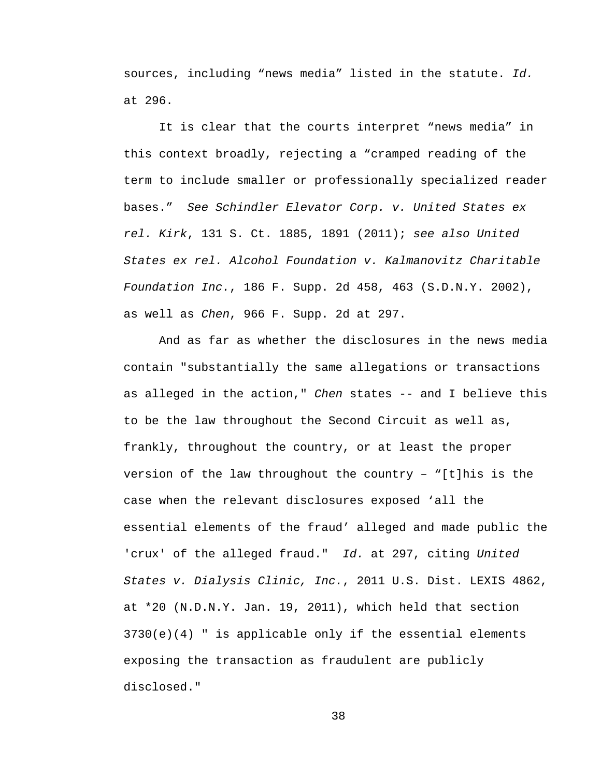sources, including "news media" listed in the statute. *Id.* at 296.

It is clear that the courts interpret "news media" in this context broadly, rejecting a "cramped reading of the term to include smaller or professionally specialized reader bases." *See Schindler Elevator Corp. v. United States ex rel. Kirk*, 131 S. Ct. 1885, 1891 (2011); *see also United States ex rel. Alcohol Foundation v. Kalmanovitz Charitable Foundation Inc.*, 186 F. Supp. 2d 458, 463 (S.D.N.Y. 2002), as well as *Chen*, 966 F. Supp. 2d at 297.

And as far as whether the disclosures in the news media contain "substantially the same allegations or transactions as alleged in the action," *Chen* states -- and I believe this to be the law throughout the Second Circuit as well as, frankly, throughout the country, or at least the proper version of the law throughout the country - "[t]his is the case when the relevant disclosures exposed 'all the essential elements of the fraud' alleged and made public the 'crux' of the alleged fraud." *Id.* at 297, citing *United States v. Dialysis Clinic, Inc.*, 2011 U.S. Dist. LEXIS 4862, at \*20 (N.D.N.Y. Jan. 19, 2011), which held that section  $3730(e)(4)$  " is applicable only if the essential elements exposing the transaction as fraudulent are publicly disclosed."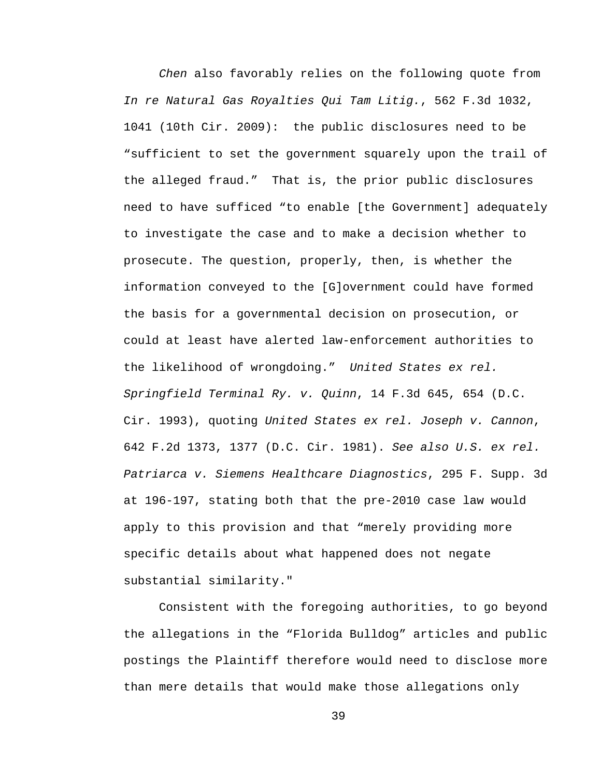*Chen* also favorably relies on the following quote from *In re Natural Gas Royalties Qui Tam Litig.*, 562 F.3d 1032, 1041 (10th Cir. 2009): the public disclosures need to be "sufficient to set the government squarely upon the trail of the alleged fraud." That is, the prior public disclosures need to have sufficed "to enable [the Government] adequately to investigate the case and to make a decision whether to prosecute. The question, properly, then, is whether the information conveyed to the [G]overnment could have formed the basis for a governmental decision on prosecution, or could at least have alerted law-enforcement authorities to the likelihood of wrongdoing." *United States ex rel. Springfield Terminal Ry. v. Quinn*, 14 F.3d 645, 654 (D.C. Cir. 1993), quoting *United States ex rel. Joseph v. Cannon*, 642 F.2d 1373, 1377 (D.C. Cir. 1981). *See also U.S. ex rel. Patriarca v. Siemens Healthcare Diagnostics*, 295 F. Supp. 3d at 196-197, stating both that the pre-2010 case law would apply to this provision and that "merely providing more specific details about what happened does not negate substantial similarity."

Consistent with the foregoing authorities, to go beyond the allegations in the "Florida Bulldog" articles and public postings the Plaintiff therefore would need to disclose more than mere details that would make those allegations only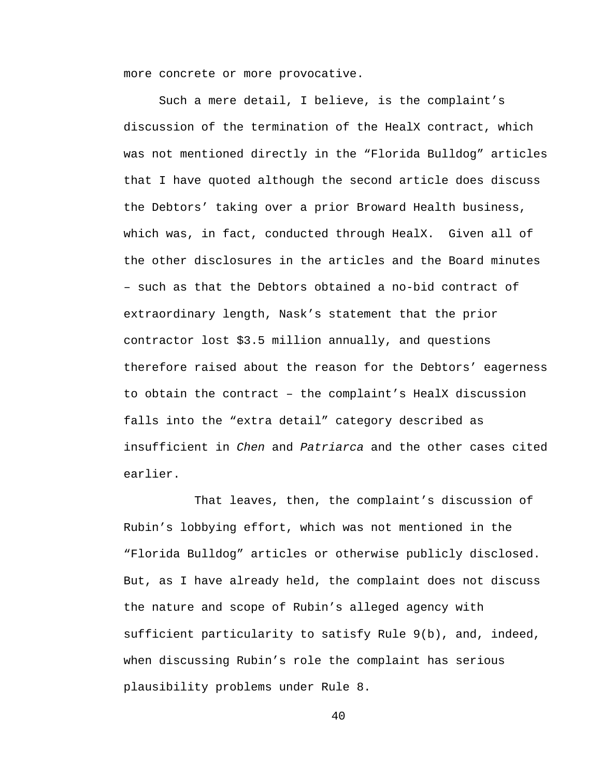more concrete or more provocative.

Such a mere detail, I believe, is the complaint's discussion of the termination of the HealX contract, which was not mentioned directly in the "Florida Bulldog" articles that I have quoted although the second article does discuss the Debtors' taking over a prior Broward Health business, which was, in fact, conducted through HealX. Given all of the other disclosures in the articles and the Board minutes – such as that the Debtors obtained a no-bid contract of extraordinary length, Nask's statement that the prior contractor lost \$3.5 million annually, and questions therefore raised about the reason for the Debtors' eagerness to obtain the contract – the complaint's HealX discussion falls into the "extra detail" category described as insufficient in *Chen* and *Patriarca* and the other cases cited earlier.

That leaves, then, the complaint's discussion of Rubin's lobbying effort, which was not mentioned in the "Florida Bulldog" articles or otherwise publicly disclosed. But, as I have already held, the complaint does not discuss the nature and scope of Rubin's alleged agency with sufficient particularity to satisfy Rule 9(b), and, indeed, when discussing Rubin's role the complaint has serious plausibility problems under Rule 8.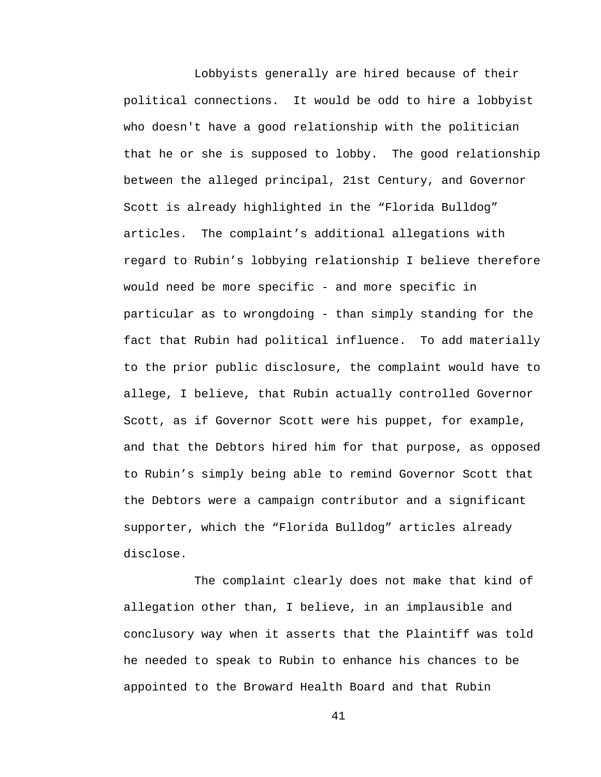Lobbyists generally are hired because of their political connections. It would be odd to hire a lobbyist who doesn't have a good relationship with the politician that he or she is supposed to lobby. The good relationship between the alleged principal, 21st Century, and Governor Scott is already highlighted in the "Florida Bulldog" articles. The complaint's additional allegations with regard to Rubin's lobbying relationship I believe therefore would need be more specific - and more specific in particular as to wrongdoing - than simply standing for the fact that Rubin had political influence. To add materially to the prior public disclosure, the complaint would have to allege, I believe, that Rubin actually controlled Governor Scott, as if Governor Scott were his puppet, for example, and that the Debtors hired him for that purpose, as opposed to Rubin's simply being able to remind Governor Scott that the Debtors were a campaign contributor and a significant supporter, which the "Florida Bulldog" articles already disclose.

The complaint clearly does not make that kind of allegation other than, I believe, in an implausible and conclusory way when it asserts that the Plaintiff was told he needed to speak to Rubin to enhance his chances to be appointed to the Broward Health Board and that Rubin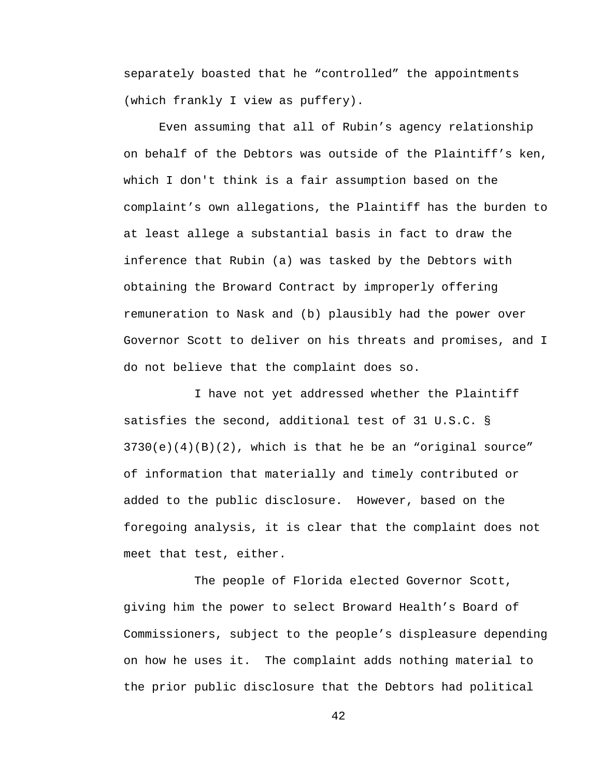separately boasted that he "controlled" the appointments (which frankly I view as puffery).

Even assuming that all of Rubin's agency relationship on behalf of the Debtors was outside of the Plaintiff's ken, which I don't think is a fair assumption based on the complaint's own allegations, the Plaintiff has the burden to at least allege a substantial basis in fact to draw the inference that Rubin (a) was tasked by the Debtors with obtaining the Broward Contract by improperly offering remuneration to Nask and (b) plausibly had the power over Governor Scott to deliver on his threats and promises, and I do not believe that the complaint does so.

I have not yet addressed whether the Plaintiff satisfies the second, additional test of 31 U.S.C. §  $3730(e)(4)(B)(2)$ , which is that he be an "original source" of information that materially and timely contributed or added to the public disclosure. However, based on the foregoing analysis, it is clear that the complaint does not meet that test, either.

The people of Florida elected Governor Scott, giving him the power to select Broward Health's Board of Commissioners, subject to the people's displeasure depending on how he uses it. The complaint adds nothing material to the prior public disclosure that the Debtors had political